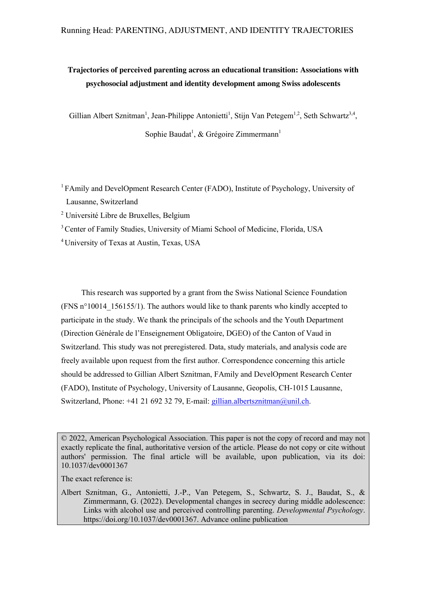# **Trajectories of perceived parenting across an educational transition: Associations with psychosocial adjustment and identity development among Swiss adolescents**

Gillian Albert Sznitman<sup>1</sup>, Jean-Philippe Antonietti<sup>1</sup>, Stijn Van Petegem<sup>1,2</sup>, Seth Schwartz<sup>3,4</sup>,

Sophie Baudat<sup>1</sup>, & Grégoire Zimmermann<sup>1</sup>

- <sup>1</sup> FAmily and DevelOpment Research Center (FADO), Institute of Psychology, University of Lausanne, Switzerland
- <sup>2</sup> Université Libre de Bruxelles, Belgium
- <sup>3</sup> Center of Family Studies, University of Miami School of Medicine, Florida, USA

<sup>4</sup> University of Texas at Austin, Texas, USA

This research was supported by a grant from the Swiss National Science Foundation (FNS  $n^{\circ}10014$  156155/1). The authors would like to thank parents who kindly accepted to participate in the study. We thank the principals of the schools and the Youth Department (Direction Générale de l'Enseignement Obligatoire, DGEO) of the Canton of Vaud in Switzerland. This study was not preregistered. Data, study materials, and analysis code are freely available upon request from the first author. Correspondence concerning this article should be addressed to Gillian Albert Sznitman, FAmily and DevelOpment Research Center (FADO), Institute of Psychology, University of Lausanne, Geopolis, CH-1015 Lausanne, Switzerland, Phone: +41 21 692 32 79, E-mail: gillian.albertsznitman@unil.ch.

© 2022, American Psychological Association. This paper is not the copy of record and may not exactly replicate the final, authoritative version of the article. Please do not copy or cite without authors' permission. The final article will be available, upon publication, via its doi: 10.1037/dev0001367

The exact reference is:

Albert Sznitman, G., Antonietti, J.-P., Van Petegem, S., Schwartz, S. J., Baudat, S., & Zimmermann, G. (2022). Developmental changes in secrecy during middle adolescence: Links with alcohol use and perceived controlling parenting. *Developmental Psychology*. https://doi.org/10.1037/dev0001367. Advance online publication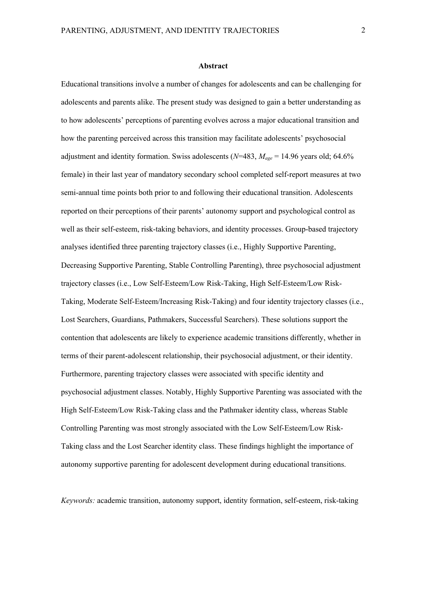## **Abstract**

Educational transitions involve a number of changes for adolescents and can be challenging for adolescents and parents alike. The present study was designed to gain a better understanding as to how adolescents' perceptions of parenting evolves across a major educational transition and how the parenting perceived across this transition may facilitate adolescents' psychosocial adjustment and identity formation. Swiss adolescents (*N*=483, *Mage* = 14.96 years old; 64.6% female) in their last year of mandatory secondary school completed self-report measures at two semi-annual time points both prior to and following their educational transition. Adolescents reported on their perceptions of their parents' autonomy support and psychological control as well as their self-esteem, risk-taking behaviors, and identity processes. Group-based trajectory analyses identified three parenting trajectory classes (i.e., Highly Supportive Parenting, Decreasing Supportive Parenting, Stable Controlling Parenting), three psychosocial adjustment trajectory classes (i.e., Low Self-Esteem/Low Risk-Taking, High Self-Esteem/Low Risk-Taking, Moderate Self-Esteem/Increasing Risk-Taking) and four identity trajectory classes (i.e., Lost Searchers, Guardians, Pathmakers, Successful Searchers). These solutions support the contention that adolescents are likely to experience academic transitions differently, whether in terms of their parent-adolescent relationship, their psychosocial adjustment, or their identity. Furthermore, parenting trajectory classes were associated with specific identity and psychosocial adjustment classes. Notably, Highly Supportive Parenting was associated with the High Self-Esteem/Low Risk-Taking class and the Pathmaker identity class, whereas Stable Controlling Parenting was most strongly associated with the Low Self-Esteem/Low Risk-Taking class and the Lost Searcher identity class. These findings highlight the importance of autonomy supportive parenting for adolescent development during educational transitions.

*Keywords:* academic transition, autonomy support, identity formation, self-esteem, risk-taking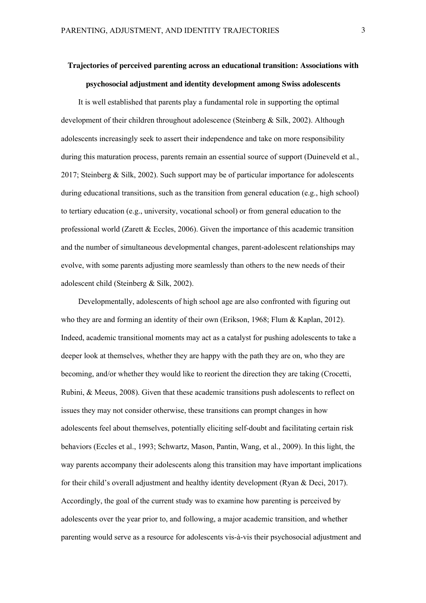# **Trajectories of perceived parenting across an educational transition: Associations with psychosocial adjustment and identity development among Swiss adolescents**

It is well established that parents play a fundamental role in supporting the optimal development of their children throughout adolescence (Steinberg & Silk, 2002). Although adolescents increasingly seek to assert their independence and take on more responsibility during this maturation process, parents remain an essential source of support (Duineveld et al., 2017; Steinberg & Silk, 2002). Such support may be of particular importance for adolescents during educational transitions, such as the transition from general education (e.g., high school) to tertiary education (e.g., university, vocational school) or from general education to the professional world (Zarett  $& Eccles, 2006$ ). Given the importance of this academic transition and the number of simultaneous developmental changes, parent-adolescent relationships may evolve, with some parents adjusting more seamlessly than others to the new needs of their adolescent child (Steinberg & Silk, 2002).

Developmentally, adolescents of high school age are also confronted with figuring out who they are and forming an identity of their own (Erikson, 1968; Flum & Kaplan, 2012). Indeed, academic transitional moments may act as a catalyst for pushing adolescents to take a deeper look at themselves, whether they are happy with the path they are on, who they are becoming, and/or whether they would like to reorient the direction they are taking (Crocetti, Rubini, & Meeus, 2008). Given that these academic transitions push adolescents to reflect on issues they may not consider otherwise, these transitions can prompt changes in how adolescents feel about themselves, potentially eliciting self-doubt and facilitating certain risk behaviors (Eccles et al., 1993; Schwartz, Mason, Pantin, Wang, et al., 2009). In this light, the way parents accompany their adolescents along this transition may have important implications for their child's overall adjustment and healthy identity development (Ryan & Deci, 2017). Accordingly, the goal of the current study was to examine how parenting is perceived by adolescents over the year prior to, and following, a major academic transition, and whether parenting would serve as a resource for adolescents vis-à-vis their psychosocial adjustment and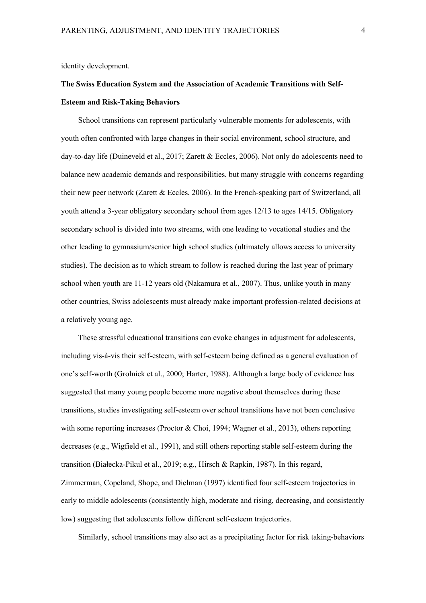identity development.

# **The Swiss Education System and the Association of Academic Transitions with Self-Esteem and Risk-Taking Behaviors**

School transitions can represent particularly vulnerable moments for adolescents, with youth often confronted with large changes in their social environment, school structure, and day-to-day life (Duineveld et al., 2017; Zarett & Eccles, 2006). Not only do adolescents need to balance new academic demands and responsibilities, but many struggle with concerns regarding their new peer network (Zarett & Eccles, 2006). In the French-speaking part of Switzerland, all youth attend a 3-year obligatory secondary school from ages 12/13 to ages 14/15. Obligatory secondary school is divided into two streams, with one leading to vocational studies and the other leading to gymnasium/senior high school studies (ultimately allows access to university studies). The decision as to which stream to follow is reached during the last year of primary school when youth are 11-12 years old (Nakamura et al., 2007). Thus, unlike youth in many other countries, Swiss adolescents must already make important profession-related decisions at a relatively young age.

These stressful educational transitions can evoke changes in adjustment for adolescents, including vis-à-vis their self-esteem, with self-esteem being defined as a general evaluation of one's self-worth (Grolnick et al., 2000; Harter, 1988). Although a large body of evidence has suggested that many young people become more negative about themselves during these transitions, studies investigating self-esteem over school transitions have not been conclusive with some reporting increases (Proctor  $& Choi, 1994$ ; Wagner et al., 2013), others reporting decreases (e.g., Wigfield et al., 1991), and still others reporting stable self-esteem during the transition (Białecka-Pikul et al., 2019; e.g., Hirsch & Rapkin, 1987). In this regard, Zimmerman, Copeland, Shope, and Dielman (1997) identified four self-esteem trajectories in early to middle adolescents (consistently high, moderate and rising, decreasing, and consistently low) suggesting that adolescents follow different self-esteem trajectories.

Similarly, school transitions may also act as a precipitating factor for risk taking-behaviors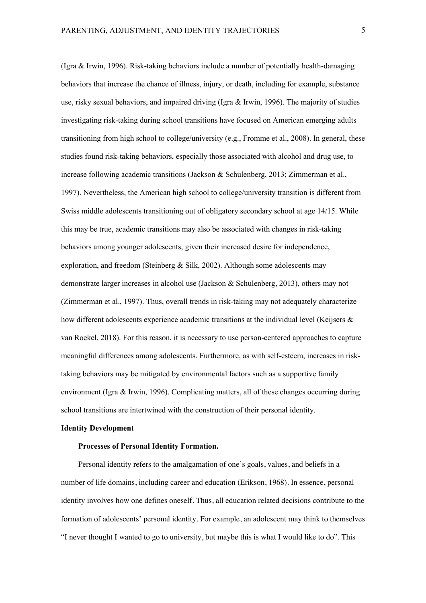(Igra & Irwin, 1996). Risk-taking behaviors include a number of potentially health-damaging behaviors that increase the chance of illness, injury, or death, including for example, substance use, risky sexual behaviors, and impaired driving (Igra  $\&$  Irwin, 1996). The majority of studies investigating risk-taking during school transitions have focused on American emerging adults transitioning from high school to college/university (e.g., Fromme et al., 2008). In general, these studies found risk-taking behaviors, especially those associated with alcohol and drug use, to increase following academic transitions (Jackson & Schulenberg, 2013; Zimmerman et al., 1997). Nevertheless, the American high school to college/university transition is different from Swiss middle adolescents transitioning out of obligatory secondary school at age 14/15. While this may be true, academic transitions may also be associated with changes in risk-taking behaviors among younger adolescents, given their increased desire for independence, exploration, and freedom (Steinberg & Silk, 2002). Although some adolescents may demonstrate larger increases in alcohol use (Jackson & Schulenberg, 2013), others may not (Zimmerman et al., 1997). Thus, overall trends in risk-taking may not adequately characterize how different adolescents experience academic transitions at the individual level (Keijsers & van Roekel, 2018). For this reason, it is necessary to use person-centered approaches to capture meaningful differences among adolescents. Furthermore, as with self-esteem, increases in risktaking behaviors may be mitigated by environmental factors such as a supportive family environment (Igra & Irwin, 1996). Complicating matters, all of these changes occurring during school transitions are intertwined with the construction of their personal identity.

# **Identity Development**

# **Processes of Personal Identity Formation.**

Personal identity refers to the amalgamation of one's goals, values, and beliefs in a number of life domains, including career and education (Erikson, 1968). In essence, personal identity involves how one defines oneself. Thus, all education related decisions contribute to the formation of adolescents' personal identity. For example, an adolescent may think to themselves "I never thought I wanted to go to university, but maybe this is what I would like to do". This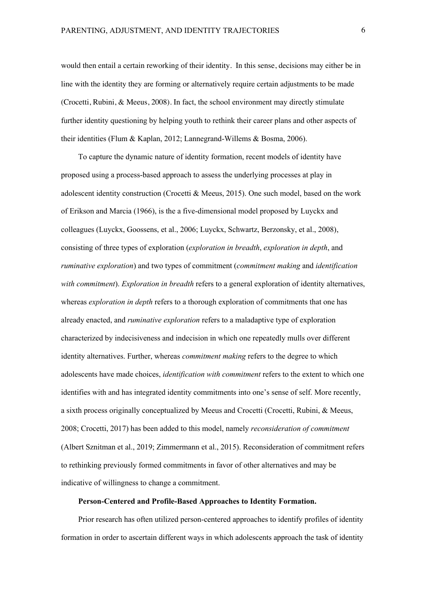would then entail a certain reworking of their identity. In this sense, decisions may either be in line with the identity they are forming or alternatively require certain adjustments to be made (Crocetti, Rubini, & Meeus, 2008). In fact, the school environment may directly stimulate further identity questioning by helping youth to rethink their career plans and other aspects of their identities (Flum & Kaplan, 2012; Lannegrand-Willems & Bosma, 2006).

To capture the dynamic nature of identity formation, recent models of identity have proposed using a process-based approach to assess the underlying processes at play in adolescent identity construction (Crocetti & Meeus, 2015). One such model, based on the work of Erikson and Marcia (1966), is the a five-dimensional model proposed by Luyckx and colleagues (Luyckx, Goossens, et al., 2006; Luyckx, Schwartz, Berzonsky, et al., 2008), consisting of three types of exploration (*exploration in breadth*, *exploration in depth*, and *ruminative exploration*) and two types of commitment (*commitment making* and *identification with commitment*). *Exploration in breadth* refers to a general exploration of identity alternatives, whereas *exploration in depth* refers to a thorough exploration of commitments that one has already enacted, and *ruminative exploration* refers to a maladaptive type of exploration characterized by indecisiveness and indecision in which one repeatedly mulls over different identity alternatives. Further, whereas *commitment making* refers to the degree to which adolescents have made choices, *identification with commitment* refers to the extent to which one identifies with and has integrated identity commitments into one's sense of self. More recently, a sixth process originally conceptualized by Meeus and Crocetti (Crocetti, Rubini, & Meeus, 2008; Crocetti, 2017) has been added to this model, namely *reconsideration of commitment* (Albert Sznitman et al., 2019; Zimmermann et al., 2015). Reconsideration of commitment refers to rethinking previously formed commitments in favor of other alternatives and may be indicative of willingness to change a commitment.

# **Person-Centered and Profile-Based Approaches to Identity Formation.**

Prior research has often utilized person-centered approaches to identify profiles of identity formation in order to ascertain different ways in which adolescents approach the task of identity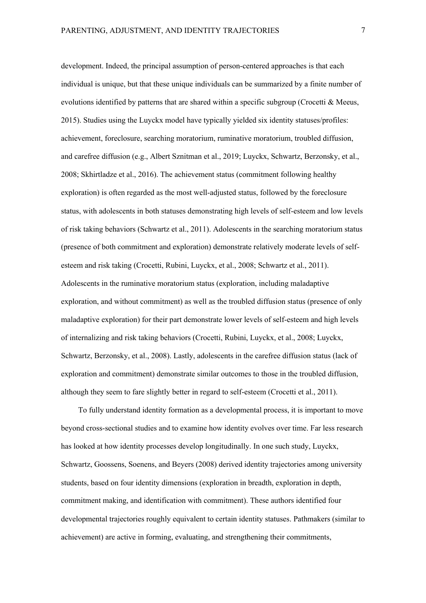development. Indeed, the principal assumption of person-centered approaches is that each individual is unique, but that these unique individuals can be summarized by a finite number of evolutions identified by patterns that are shared within a specific subgroup (Crocetti & Meeus, 2015). Studies using the Luyckx model have typically yielded six identity statuses/profiles: achievement, foreclosure, searching moratorium, ruminative moratorium, troubled diffusion, and carefree diffusion (e.g., Albert Sznitman et al., 2019; Luyckx, Schwartz, Berzonsky, et al., 2008; Skhirtladze et al., 2016). The achievement status (commitment following healthy exploration) is often regarded as the most well-adjusted status, followed by the foreclosure status, with adolescents in both statuses demonstrating high levels of self-esteem and low levels of risk taking behaviors (Schwartz et al., 2011). Adolescents in the searching moratorium status (presence of both commitment and exploration) demonstrate relatively moderate levels of selfesteem and risk taking (Crocetti, Rubini, Luyckx, et al., 2008; Schwartz et al., 2011). Adolescents in the ruminative moratorium status (exploration, including maladaptive exploration, and without commitment) as well as the troubled diffusion status (presence of only maladaptive exploration) for their part demonstrate lower levels of self-esteem and high levels of internalizing and risk taking behaviors (Crocetti, Rubini, Luyckx, et al., 2008; Luyckx, Schwartz, Berzonsky, et al., 2008). Lastly, adolescents in the carefree diffusion status (lack of exploration and commitment) demonstrate similar outcomes to those in the troubled diffusion, although they seem to fare slightly better in regard to self-esteem (Crocetti et al., 2011).

To fully understand identity formation as a developmental process, it is important to move beyond cross-sectional studies and to examine how identity evolves over time. Far less research has looked at how identity processes develop longitudinally. In one such study, Luyckx, Schwartz, Goossens, Soenens, and Beyers (2008) derived identity trajectories among university students, based on four identity dimensions (exploration in breadth, exploration in depth, commitment making, and identification with commitment). These authors identified four developmental trajectories roughly equivalent to certain identity statuses. Pathmakers (similar to achievement) are active in forming, evaluating, and strengthening their commitments,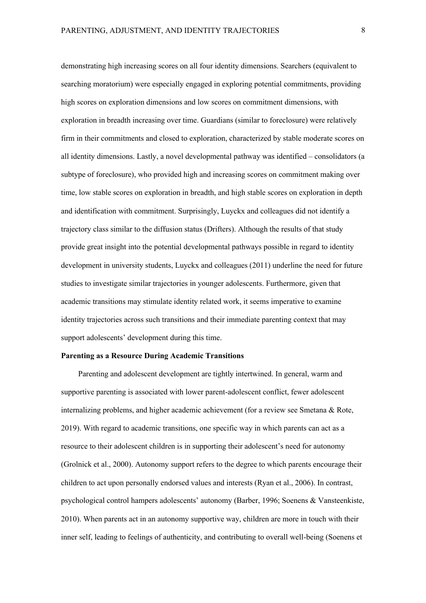demonstrating high increasing scores on all four identity dimensions. Searchers (equivalent to searching moratorium) were especially engaged in exploring potential commitments, providing high scores on exploration dimensions and low scores on commitment dimensions, with exploration in breadth increasing over time. Guardians (similar to foreclosure) were relatively firm in their commitments and closed to exploration, characterized by stable moderate scores on all identity dimensions. Lastly, a novel developmental pathway was identified – consolidators (a subtype of foreclosure), who provided high and increasing scores on commitment making over time, low stable scores on exploration in breadth, and high stable scores on exploration in depth and identification with commitment. Surprisingly, Luyckx and colleagues did not identify a trajectory class similar to the diffusion status (Drifters). Although the results of that study provide great insight into the potential developmental pathways possible in regard to identity development in university students, Luyckx and colleagues (2011) underline the need for future studies to investigate similar trajectories in younger adolescents. Furthermore, given that academic transitions may stimulate identity related work, it seems imperative to examine identity trajectories across such transitions and their immediate parenting context that may support adolescents' development during this time.

## **Parenting as a Resource During Academic Transitions**

Parenting and adolescent development are tightly intertwined. In general, warm and supportive parenting is associated with lower parent-adolescent conflict, fewer adolescent internalizing problems, and higher academic achievement (for a review see Smetana & Rote, 2019). With regard to academic transitions, one specific way in which parents can act as a resource to their adolescent children is in supporting their adolescent's need for autonomy (Grolnick et al., 2000). Autonomy support refers to the degree to which parents encourage their children to act upon personally endorsed values and interests (Ryan et al., 2006). In contrast, psychological control hampers adolescents' autonomy (Barber, 1996; Soenens & Vansteenkiste, 2010). When parents act in an autonomy supportive way, children are more in touch with their inner self, leading to feelings of authenticity, and contributing to overall well-being (Soenens et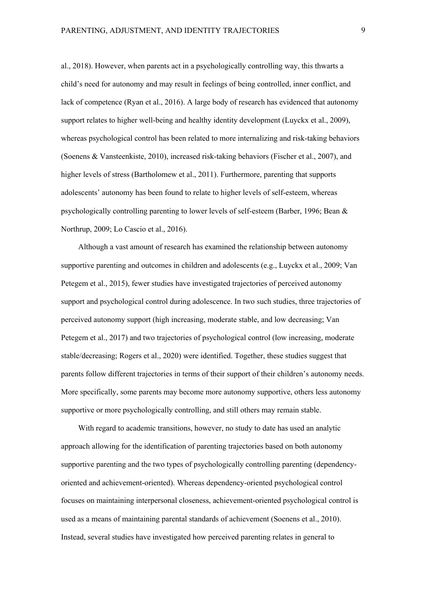al., 2018). However, when parents act in a psychologically controlling way, this thwarts a child's need for autonomy and may result in feelings of being controlled, inner conflict, and lack of competence (Ryan et al., 2016). A large body of research has evidenced that autonomy support relates to higher well-being and healthy identity development (Luyckx et al., 2009), whereas psychological control has been related to more internalizing and risk-taking behaviors (Soenens & Vansteenkiste, 2010), increased risk-taking behaviors (Fischer et al., 2007), and higher levels of stress (Bartholomew et al., 2011). Furthermore, parenting that supports adolescents' autonomy has been found to relate to higher levels of self-esteem, whereas psychologically controlling parenting to lower levels of self-esteem (Barber, 1996; Bean & Northrup, 2009; Lo Cascio et al., 2016).

Although a vast amount of research has examined the relationship between autonomy supportive parenting and outcomes in children and adolescents (e.g., Luyckx et al., 2009; Van Petegem et al., 2015), fewer studies have investigated trajectories of perceived autonomy support and psychological control during adolescence. In two such studies, three trajectories of perceived autonomy support (high increasing, moderate stable, and low decreasing; Van Petegem et al., 2017) and two trajectories of psychological control (low increasing, moderate stable/decreasing; Rogers et al., 2020) were identified. Together, these studies suggest that parents follow different trajectories in terms of their support of their children's autonomy needs. More specifically, some parents may become more autonomy supportive, others less autonomy supportive or more psychologically controlling, and still others may remain stable.

With regard to academic transitions, however, no study to date has used an analytic approach allowing for the identification of parenting trajectories based on both autonomy supportive parenting and the two types of psychologically controlling parenting (dependencyoriented and achievement-oriented). Whereas dependency-oriented psychological control focuses on maintaining interpersonal closeness, achievement-oriented psychological control is used as a means of maintaining parental standards of achievement (Soenens et al., 2010). Instead, several studies have investigated how perceived parenting relates in general to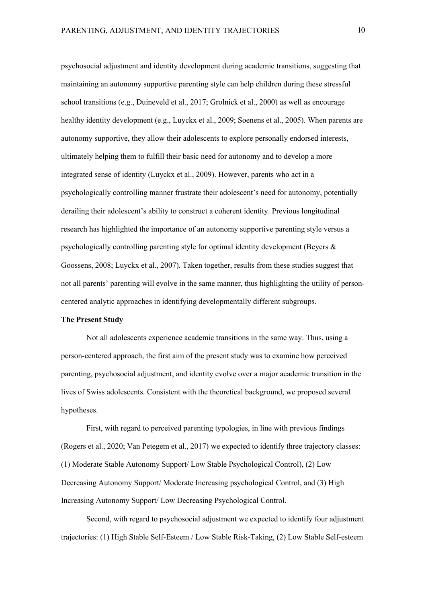psychosocial adjustment and identity development during academic transitions, suggesting that maintaining an autonomy supportive parenting style can help children during these stressful school transitions (e.g., Duineveld et al., 2017; Grolnick et al., 2000) as well as encourage healthy identity development (e.g., Luyckx et al., 2009; Soenens et al., 2005). When parents are autonomy supportive, they allow their adolescents to explore personally endorsed interests, ultimately helping them to fulfill their basic need for autonomy and to develop a more integrated sense of identity (Luyckx et al., 2009). However, parents who act in a psychologically controlling manner frustrate their adolescent's need for autonomy, potentially derailing their adolescent's ability to construct a coherent identity. Previous longitudinal research has highlighted the importance of an autonomy supportive parenting style versus a psychologically controlling parenting style for optimal identity development (Beyers & Goossens, 2008; Luyckx et al., 2007). Taken together, results from these studies suggest that not all parents' parenting will evolve in the same manner, thus highlighting the utility of personcentered analytic approaches in identifying developmentally different subgroups.

## **The Present Study**

Not all adolescents experience academic transitions in the same way. Thus, using a person-centered approach, the first aim of the present study was to examine how perceived parenting, psychosocial adjustment, and identity evolve over a major academic transition in the lives of Swiss adolescents. Consistent with the theoretical background, we proposed several hypotheses.

First, with regard to perceived parenting typologies, in line with previous findings (Rogers et al., 2020; Van Petegem et al., 2017) we expected to identify three trajectory classes: (1) Moderate Stable Autonomy Support/ Low Stable Psychological Control), (2) Low Decreasing Autonomy Support/ Moderate Increasing psychological Control, and (3) High Increasing Autonomy Support/ Low Decreasing Psychological Control.

Second, with regard to psychosocial adjustment we expected to identify four adjustment trajectories: (1) High Stable Self-Esteem / Low Stable Risk-Taking, (2) Low Stable Self-esteem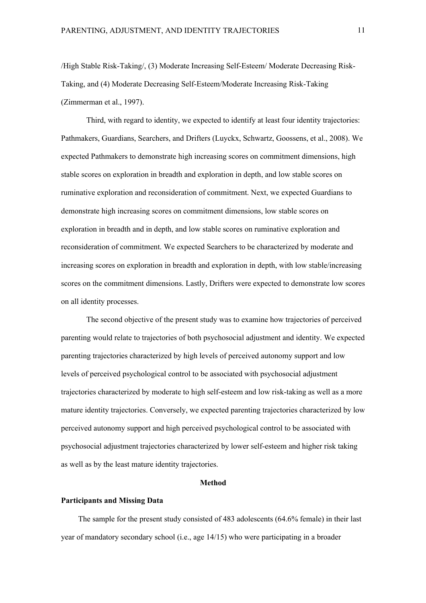/High Stable Risk-Taking/, (3) Moderate Increasing Self-Esteem/ Moderate Decreasing Risk-Taking, and (4) Moderate Decreasing Self-Esteem/Moderate Increasing Risk-Taking (Zimmerman et al., 1997).

Third, with regard to identity, we expected to identify at least four identity trajectories: Pathmakers, Guardians, Searchers, and Drifters (Luyckx, Schwartz, Goossens, et al., 2008). We expected Pathmakers to demonstrate high increasing scores on commitment dimensions, high stable scores on exploration in breadth and exploration in depth, and low stable scores on ruminative exploration and reconsideration of commitment. Next, we expected Guardians to demonstrate high increasing scores on commitment dimensions, low stable scores on exploration in breadth and in depth, and low stable scores on ruminative exploration and reconsideration of commitment. We expected Searchers to be characterized by moderate and increasing scores on exploration in breadth and exploration in depth, with low stable/increasing scores on the commitment dimensions. Lastly, Drifters were expected to demonstrate low scores on all identity processes.

The second objective of the present study was to examine how trajectories of perceived parenting would relate to trajectories of both psychosocial adjustment and identity. We expected parenting trajectories characterized by high levels of perceived autonomy support and low levels of perceived psychological control to be associated with psychosocial adjustment trajectories characterized by moderate to high self-esteem and low risk-taking as well as a more mature identity trajectories. Conversely, we expected parenting trajectories characterized by low perceived autonomy support and high perceived psychological control to be associated with psychosocial adjustment trajectories characterized by lower self-esteem and higher risk taking as well as by the least mature identity trajectories.

# **Method**

# **Participants and Missing Data**

The sample for the present study consisted of 483 adolescents (64.6% female) in their last year of mandatory secondary school (i.e., age 14/15) who were participating in a broader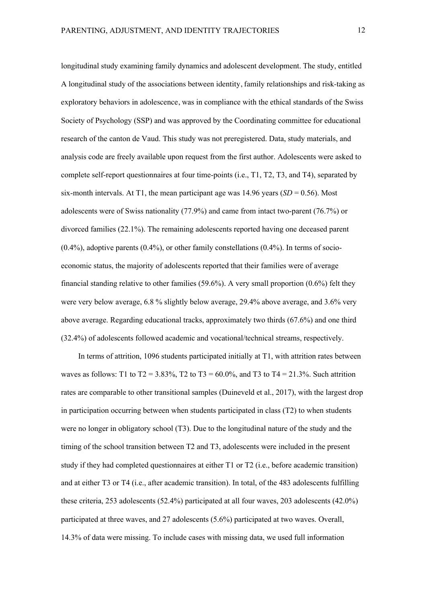longitudinal study examining family dynamics and adolescent development. The study, entitled A longitudinal study of the associations between identity, family relationships and risk-taking as exploratory behaviors in adolescence, was in compliance with the ethical standards of the Swiss Society of Psychology (SSP) and was approved by the Coordinating committee for educational research of the canton de Vaud. This study was not preregistered. Data, study materials, and analysis code are freely available upon request from the first author. Adolescents were asked to complete self-report questionnaires at four time-points (i.e., T1, T2, T3, and T4), separated by six-month intervals. At T1, the mean participant age was  $14.96$  years  $(SD = 0.56)$ . Most adolescents were of Swiss nationality (77.9%) and came from intact two-parent (76.7%) or divorced families (22.1%). The remaining adolescents reported having one deceased parent  $(0.4\%)$ , adoptive parents  $(0.4\%)$ , or other family constellations  $(0.4\%)$ . In terms of socioeconomic status, the majority of adolescents reported that their families were of average financial standing relative to other families (59.6%). A very small proportion (0.6%) felt they were very below average, 6.8 % slightly below average, 29.4% above average, and 3.6% very above average. Regarding educational tracks, approximately two thirds (67.6%) and one third (32.4%) of adolescents followed academic and vocational/technical streams, respectively.

In terms of attrition, 1096 students participated initially at T1, with attrition rates between waves as follows: T1 to  $T2 = 3.83\%$ , T2 to T3 = 60.0%, and T3 to T4 = 21.3%. Such attrition rates are comparable to other transitional samples (Duineveld et al., 2017), with the largest drop in participation occurring between when students participated in class (T2) to when students were no longer in obligatory school (T3). Due to the longitudinal nature of the study and the timing of the school transition between T2 and T3, adolescents were included in the present study if they had completed questionnaires at either T1 or T2 (i.e., before academic transition) and at either T3 or T4 (i.e., after academic transition). In total, of the 483 adolescents fulfilling these criteria, 253 adolescents (52.4%) participated at all four waves, 203 adolescents (42.0%) participated at three waves, and 27 adolescents (5.6%) participated at two waves. Overall, 14.3% of data were missing. To include cases with missing data, we used full information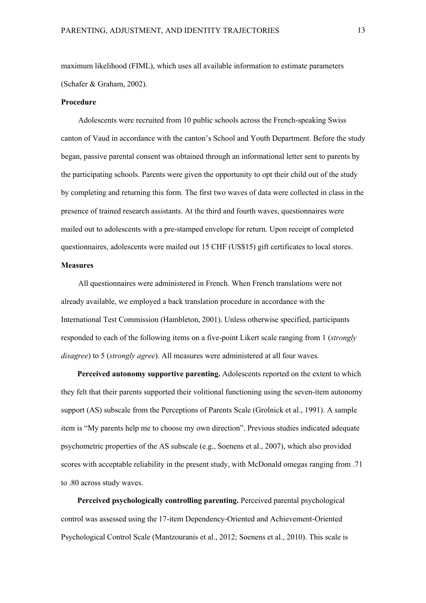maximum likelihood (FIML), which uses all available information to estimate parameters (Schafer & Graham, 2002).

#### **Procedure**

Adolescents were recruited from 10 public schools across the French-speaking Swiss canton of Vaud in accordance with the canton's School and Youth Department. Before the study began, passive parental consent was obtained through an informational letter sent to parents by the participating schools. Parents were given the opportunity to opt their child out of the study by completing and returning this form. The first two waves of data were collected in class in the presence of trained research assistants. At the third and fourth waves, questionnaires were mailed out to adolescents with a pre-stamped envelope for return. Upon receipt of completed questionnaires, adolescents were mailed out 15 CHF (US\$15) gift certificates to local stores.

# **Measures**

All questionnaires were administered in French. When French translations were not already available, we employed a back translation procedure in accordance with the International Test Commission (Hambleton, 2001). Unless otherwise specified, participants responded to each of the following items on a five-point Likert scale ranging from 1 (*strongly disagree*) to 5 (*strongly agree*). All measures were administered at all four waves.

**Perceived autonomy supportive parenting.** Adolescents reported on the extent to which they felt that their parents supported their volitional functioning using the seven-item autonomy support (AS) subscale from the Perceptions of Parents Scale (Grolnick et al., 1991). A sample item is "My parents help me to choose my own direction". Previous studies indicated adequate psychometric properties of the AS subscale (e.g., Soenens et al., 2007), which also provided scores with acceptable reliability in the present study, with McDonald omegas ranging from .71 to .80 across study waves.

**Perceived psychologically controlling parenting.** Perceived parental psychological control was assessed using the 17-item Dependency-Oriented and Achievement-Oriented Psychological Control Scale (Mantzouranis et al., 2012; Soenens et al., 2010). This scale is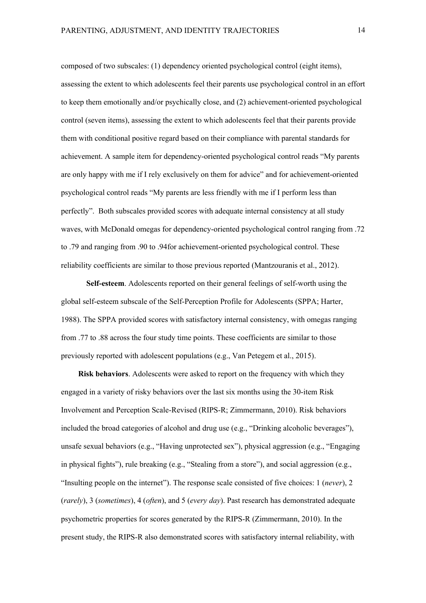composed of two subscales: (1) dependency oriented psychological control (eight items), assessing the extent to which adolescents feel their parents use psychological control in an effort to keep them emotionally and/or psychically close, and (2) achievement-oriented psychological control (seven items), assessing the extent to which adolescents feel that their parents provide them with conditional positive regard based on their compliance with parental standards for achievement. A sample item for dependency-oriented psychological control reads "My parents are only happy with me if I rely exclusively on them for advice" and for achievement-oriented psychological control reads "My parents are less friendly with me if I perform less than perfectly". Both subscales provided scores with adequate internal consistency at all study waves, with McDonald omegas for dependency-oriented psychological control ranging from .72 to .79 and ranging from .90 to .94for achievement-oriented psychological control. These reliability coefficients are similar to those previous reported (Mantzouranis et al., 2012).

**Self-esteem**. Adolescents reported on their general feelings of self-worth using the global self-esteem subscale of the Self-Perception Profile for Adolescents (SPPA; Harter, 1988). The SPPA provided scores with satisfactory internal consistency, with omegas ranging from .77 to .88 across the four study time points. These coefficients are similar to those previously reported with adolescent populations (e.g., Van Petegem et al., 2015).

**Risk behaviors**. Adolescents were asked to report on the frequency with which they engaged in a variety of risky behaviors over the last six months using the 30-item Risk Involvement and Perception Scale-Revised (RIPS-R; Zimmermann, 2010). Risk behaviors included the broad categories of alcohol and drug use (e.g., "Drinking alcoholic beverages"), unsafe sexual behaviors (e.g., "Having unprotected sex"), physical aggression (e.g., "Engaging in physical fights"), rule breaking (e.g., "Stealing from a store"), and social aggression (e.g., "Insulting people on the internet"). The response scale consisted of five choices: 1 (*never*), 2 (*rarely*), 3 (*sometimes*), 4 (*often*), and 5 (*every day*). Past research has demonstrated adequate psychometric properties for scores generated by the RIPS-R (Zimmermann, 2010). In the present study, the RIPS-R also demonstrated scores with satisfactory internal reliability, with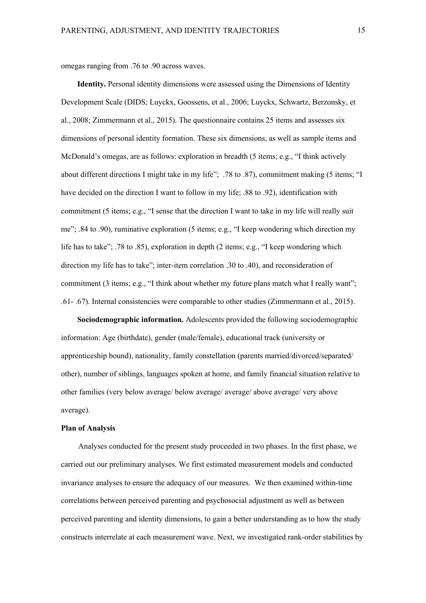omegas ranging from .76 to .90 across waves.

**Identity.** Personal identity dimensions were assessed using the Dimensions of Identity Development Scale (DIDS; Luyckx, Goossens, et al., 2006; Luyckx, Schwartz, Berzonsky, et al., 2008; Zimmermann et al., 2015). The questionnaire contains 25 items and assesses six dimensions of personal identity formation. These six dimensions, as well as sample items and McDonald's omegas, are as follows: exploration in breadth (5 items; e.g., "I think actively about different directions I might take in my life"; .78 to .87), commitment making (5 items; "I have decided on the direction I want to follow in my life; .88 to .92), identification with commitment (5 items; e.g., "I sense that the direction I want to take in my life will really suit me"; .84 to .90), ruminative exploration (5 items; e.g., "I keep wondering which direction my life has to take"; .78 to .85), exploration in depth (2 items; e.g., "I keep wondering which direction my life has to take"; inter-item correlation .30 to .40), and reconsideration of commitment (3 items; e.g., "I think about whether my future plans match what I really want"; .61- .67). Internal consistencies were comparable to other studies (Zimmermann et al., 2015).

**Sociodemographic information.** Adolescents provided the following sociodemographic information: Age (birthdate), gender (male/female), educational track (university or apprenticeship bound), nationality, family constellation (parents married/divorced/separated/ other), number of siblings, languages spoken at home, and family financial situation relative to other families (very below average/ below average/ average/ above average/ very above average).

# **Plan of Analysis**

Analyses conducted for the present study proceeded in two phases. In the first phase, we carried out our preliminary analyses. We first estimated measurement models and conducted invariance analyses to ensure the adequacy of our measures. We then examined within-time correlations between perceived parenting and psychosocial adjustment as well as between perceived parenting and identity dimensions, to gain a better understanding as to how the study constructs interrelate at each measurement wave. Next, we investigated rank-order stabilities by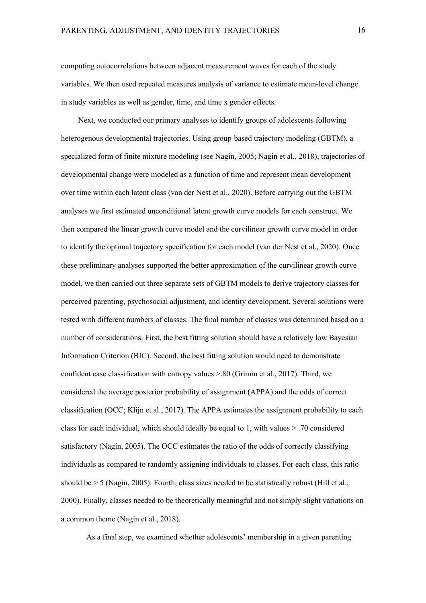computing autocorrelations between adjacent measurement waves for each of the study variables. We then used repeated measures analysis of variance to estimate mean-level change in study variables as well as gender, time, and time x gender effects.

Next, we conducted our primary analyses to identify groups of adolescents following heterogenous developmental trajectories. Using group-based trajectory modeling (GBTM), a specialized form of finite mixture modeling (see Nagin, 2005; Nagin et al., 2018), trajectories of developmental change were modeled as a function of time and represent mean development over time within each latent class (van der Nest et al., 2020). Before carrying out the GBTM analyses we first estimated unconditional latent growth curve models for each construct. We then compared the linear growth curve model and the curvilinear growth curve model in order to identify the optimal trajectory specification for each model (van der Nest et al., 2020). Once these preliminary analyses supported the better approximation of the curvilinear growth curve model, we then carried out three separate sets of GBTM models to derive trajectory classes for perceived parenting, psychosocial adjustment, and identity development. Several solutions were tested with different numbers of classes. The final number of classes was determined based on a number of considerations. First, the best fitting solution should have a relatively low Bayesian Information Criterion (BIC). Second, the best fitting solution would need to demonstrate confident case classification with entropy values >.80 (Grimm et al., 2017). Third, we considered the average posterior probability of assignment (APPA) and the odds of correct classification (OCC; Klijn et al., 2017). The APPA estimates the assignment probability to each class for each individual, which should ideally be equal to 1, with values > .70 considered satisfactory (Nagin, 2005). The OCC estimates the ratio of the odds of correctly classifying individuals as compared to randomly assigning individuals to classes. For each class, this ratio should be  $> 5$  (Nagin, 2005). Fourth, class sizes needed to be statistically robust (Hill et al., 2000). Finally, classes needed to be theoretically meaningful and not simply slight variations on a common theme (Nagin et al., 2018).

As a final step, we examined whether adolescents' membership in a given parenting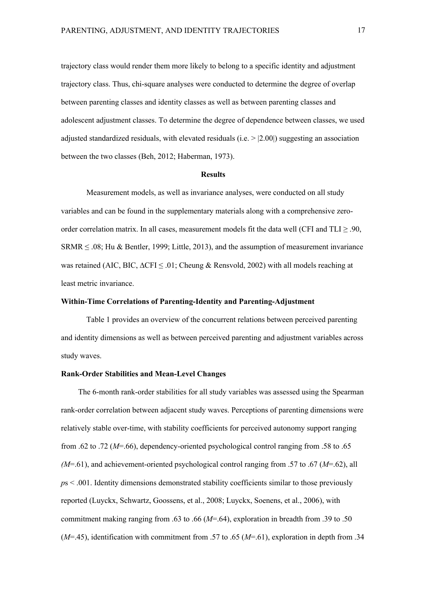trajectory class would render them more likely to belong to a specific identity and adjustment trajectory class. Thus, chi-square analyses were conducted to determine the degree of overlap between parenting classes and identity classes as well as between parenting classes and adolescent adjustment classes. To determine the degree of dependence between classes, we used adjusted standardized residuals, with elevated residuals (i.e.  $> |2.00|$ ) suggesting an association between the two classes (Beh, 2012; Haberman, 1973).

### **Results**

Measurement models, as well as invariance analyses, were conducted on all study variables and can be found in the supplementary materials along with a comprehensive zeroorder correlation matrix. In all cases, measurement models fit the data well (CFI and TLI  $\geq$  .90, SRMR ≤ .08; Hu & Bentler, 1999; Little, 2013), and the assumption of measurement invariance was retained (AIC, BIC, ∆CFI ≤ .01; Cheung & Rensvold, 2002) with all models reaching at least metric invariance.

# **Within-Time Correlations of Parenting-Identity and Parenting-Adjustment**

Table 1 provides an overview of the concurrent relations between perceived parenting and identity dimensions as well as between perceived parenting and adjustment variables across study waves.

## **Rank-Order Stabilities and Mean-Level Changes**

The 6-month rank-order stabilities for all study variables was assessed using the Spearman rank-order correlation between adjacent study waves. Perceptions of parenting dimensions were relatively stable over-time, with stability coefficients for perceived autonomy support ranging from .62 to .72 (*M*=.66), dependency-oriented psychological control ranging from .58 to .65 *(M*=.61), and achievement-oriented psychological control ranging from .57 to .67 (*M*=.62), all *p*s < .001. Identity dimensions demonstrated stability coefficients similar to those previously reported (Luyckx, Schwartz, Goossens, et al., 2008; Luyckx, Soenens, et al., 2006), with commitment making ranging from .63 to .66 (*M*=.64), exploration in breadth from .39 to .50 (*M*=.45), identification with commitment from .57 to .65 (*M*=.61), exploration in depth from .34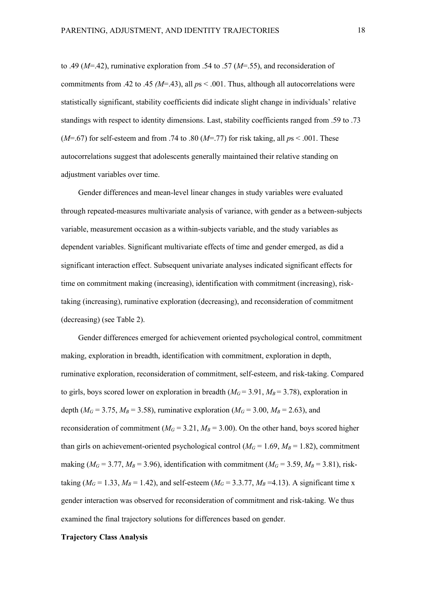to .49 (*M*=.42), ruminative exploration from .54 to .57 (*M*=.55), and reconsideration of commitments from .42 to .45  $/M=$ .43), all  $ps < .001$ . Thus, although all autocorrelations were statistically significant, stability coefficients did indicate slight change in individuals' relative standings with respect to identity dimensions. Last, stability coefficients ranged from .59 to .73  $(M=0.67)$  for self-esteem and from .74 to .80  $(M=0.77)$  for risk taking, all  $ps < 0.001$ . These autocorrelations suggest that adolescents generally maintained their relative standing on adjustment variables over time.

Gender differences and mean-level linear changes in study variables were evaluated through repeated-measures multivariate analysis of variance, with gender as a between-subjects variable, measurement occasion as a within-subjects variable, and the study variables as dependent variables. Significant multivariate effects of time and gender emerged, as did a significant interaction effect. Subsequent univariate analyses indicated significant effects for time on commitment making (increasing), identification with commitment (increasing), risktaking (increasing), ruminative exploration (decreasing), and reconsideration of commitment (decreasing) (see Table 2).

Gender differences emerged for achievement oriented psychological control, commitment making, exploration in breadth, identification with commitment, exploration in depth, ruminative exploration, reconsideration of commitment, self-esteem, and risk-taking. Compared to girls, boys scored lower on exploration in breadth  $(M<sub>G</sub>=3.91, M<sub>B</sub>=3.78)$ , exploration in depth ( $M_G$  = 3.75,  $M_B$  = 3.58), ruminative exploration ( $M_G$  = 3.00,  $M_B$  = 2.63), and reconsideration of commitment ( $M<sub>G</sub> = 3.21$ ,  $M<sub>B</sub> = 3.00$ ). On the other hand, boys scored higher than girls on achievement-oriented psychological control ( $M<sub>G</sub> = 1.69$ ,  $M<sub>B</sub> = 1.82$ ), commitment making ( $M_G$  = 3.77,  $M_B$  = 3.96), identification with commitment ( $M_G$  = 3.59,  $M_B$  = 3.81), risktaking ( $M_G = 1.33$ ,  $M_B = 1.42$ ), and self-esteem ( $M_G = 3.3.77$ ,  $M_B = 4.13$ ). A significant time x gender interaction was observed for reconsideration of commitment and risk-taking. We thus examined the final trajectory solutions for differences based on gender.

# **Trajectory Class Analysis**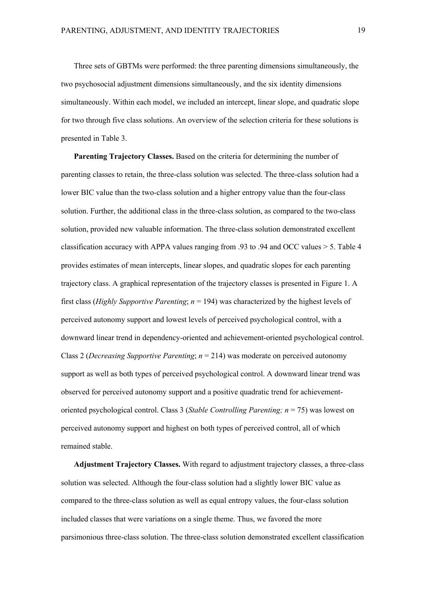Three sets of GBTMs were performed: the three parenting dimensions simultaneously, the two psychosocial adjustment dimensions simultaneously, and the six identity dimensions simultaneously. Within each model, we included an intercept, linear slope, and quadratic slope for two through five class solutions. An overview of the selection criteria for these solutions is presented in Table 3.

**Parenting Trajectory Classes.** Based on the criteria for determining the number of parenting classes to retain, the three-class solution was selected. The three-class solution had a lower BIC value than the two-class solution and a higher entropy value than the four-class solution. Further, the additional class in the three-class solution, as compared to the two-class solution, provided new valuable information. The three-class solution demonstrated excellent classification accuracy with APPA values ranging from .93 to .94 and OCC values > 5. Table 4 provides estimates of mean intercepts, linear slopes, and quadratic slopes for each parenting trajectory class. A graphical representation of the trajectory classes is presented in Figure 1. A first class (*Highly Supportive Parenting*; *n* = 194) was characterized by the highest levels of perceived autonomy support and lowest levels of perceived psychological control, with a downward linear trend in dependency-oriented and achievement-oriented psychological control. Class 2 (*Decreasing Supportive Parenting*; *n* = 214) was moderate on perceived autonomy support as well as both types of perceived psychological control. A downward linear trend was observed for perceived autonomy support and a positive quadratic trend for achievementoriented psychological control. Class 3 (*Stable Controlling Parenting; n* = 75) was lowest on perceived autonomy support and highest on both types of perceived control, all of which remained stable.

**Adjustment Trajectory Classes.** With regard to adjustment trajectory classes, a three-class solution was selected. Although the four-class solution had a slightly lower BIC value as compared to the three-class solution as well as equal entropy values, the four-class solution included classes that were variations on a single theme. Thus, we favored the more parsimonious three-class solution. The three-class solution demonstrated excellent classification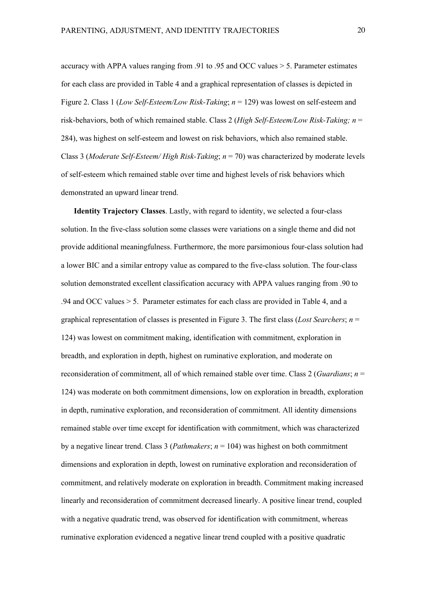accuracy with APPA values ranging from .91 to .95 and OCC values > 5. Parameter estimates for each class are provided in Table 4 and a graphical representation of classes is depicted in Figure 2. Class 1 (*Low Self-Esteem/Low Risk-Taking*; *n* = 129) was lowest on self-esteem and risk-behaviors, both of which remained stable. Class 2 (*High Self-Esteem/Low Risk-Taking; n* = 284), was highest on self-esteem and lowest on risk behaviors, which also remained stable. Class 3 (*Moderate Self-Esteem/ High Risk-Taking*; *n* = 70) was characterized by moderate levels of self-esteem which remained stable over time and highest levels of risk behaviors which demonstrated an upward linear trend.

**Identity Trajectory Classes**. Lastly, with regard to identity, we selected a four-class solution. In the five-class solution some classes were variations on a single theme and did not provide additional meaningfulness. Furthermore, the more parsimonious four-class solution had a lower BIC and a similar entropy value as compared to the five-class solution. The four-class solution demonstrated excellent classification accuracy with APPA values ranging from .90 to .94 and OCC values > 5. Parameter estimates for each class are provided in Table 4, and a graphical representation of classes is presented in Figure 3. The first class (*Lost Searchers*; *n* = 124) was lowest on commitment making, identification with commitment, exploration in breadth, and exploration in depth, highest on ruminative exploration, and moderate on reconsideration of commitment, all of which remained stable over time. Class 2 (*Guardians*; *n* = 124) was moderate on both commitment dimensions, low on exploration in breadth, exploration in depth, ruminative exploration, and reconsideration of commitment. All identity dimensions remained stable over time except for identification with commitment, which was characterized by a negative linear trend. Class 3 (*Pathmakers*; *n* = 104) was highest on both commitment dimensions and exploration in depth, lowest on ruminative exploration and reconsideration of commitment, and relatively moderate on exploration in breadth. Commitment making increased linearly and reconsideration of commitment decreased linearly. A positive linear trend, coupled with a negative quadratic trend, was observed for identification with commitment, whereas ruminative exploration evidenced a negative linear trend coupled with a positive quadratic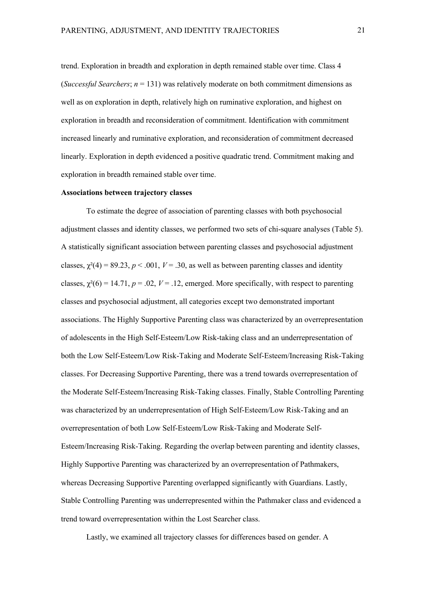trend. Exploration in breadth and exploration in depth remained stable over time. Class 4 (*Successful Searchers*;  $n = 131$ ) was relatively moderate on both commitment dimensions as well as on exploration in depth, relatively high on ruminative exploration, and highest on exploration in breadth and reconsideration of commitment. Identification with commitment increased linearly and ruminative exploration, and reconsideration of commitment decreased linearly. Exploration in depth evidenced a positive quadratic trend. Commitment making and exploration in breadth remained stable over time.

# **Associations between trajectory classes**

To estimate the degree of association of parenting classes with both psychosocial adjustment classes and identity classes, we performed two sets of chi-square analyses (Table 5). A statistically significant association between parenting classes and psychosocial adjustment classes,  $\gamma^2(4) = 89.23$ ,  $p < .001$ ,  $V = .30$ , as well as between parenting classes and identity classes,  $\chi^2(6) = 14.71$ ,  $p = .02$ ,  $V = .12$ , emerged. More specifically, with respect to parenting classes and psychosocial adjustment, all categories except two demonstrated important associations. The Highly Supportive Parenting class was characterized by an overrepresentation of adolescents in the High Self-Esteem/Low Risk-taking class and an underrepresentation of both the Low Self-Esteem/Low Risk-Taking and Moderate Self-Esteem/Increasing Risk-Taking classes. For Decreasing Supportive Parenting, there was a trend towards overrepresentation of the Moderate Self-Esteem/Increasing Risk-Taking classes. Finally, Stable Controlling Parenting was characterized by an underrepresentation of High Self-Esteem/Low Risk-Taking and an overrepresentation of both Low Self-Esteem/Low Risk-Taking and Moderate Self-Esteem/Increasing Risk-Taking. Regarding the overlap between parenting and identity classes, Highly Supportive Parenting was characterized by an overrepresentation of Pathmakers, whereas Decreasing Supportive Parenting overlapped significantly with Guardians. Lastly, Stable Controlling Parenting was underrepresented within the Pathmaker class and evidenced a trend toward overrepresentation within the Lost Searcher class.

Lastly, we examined all trajectory classes for differences based on gender. A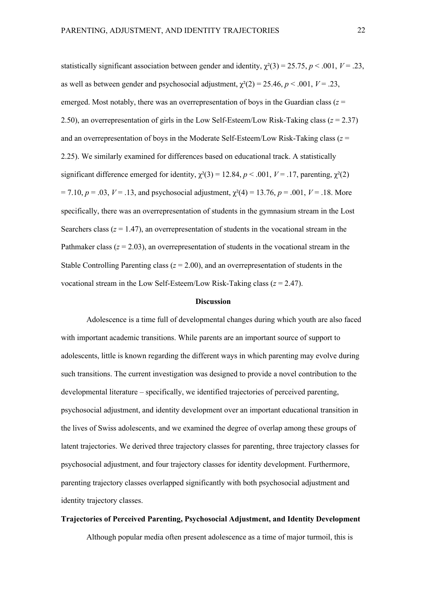statistically significant association between gender and identity,  $\chi^2(3) = 25.75$ ,  $p < .001$ ,  $V = .23$ , as well as between gender and psychosocial adjustment,  $\gamma^2(2) = 25.46$ ,  $p < .001$ ,  $V = .23$ , emerged. Most notably, there was an overrepresentation of boys in the Guardian class  $(z =$ 2.50), an overrepresentation of girls in the Low Self-Esteem/Low Risk-Taking class  $(z = 2.37)$ and an overrepresentation of boys in the Moderate Self-Esteem/Low Risk-Taking class (*z* = 2.25). We similarly examined for differences based on educational track. A statistically significant difference emerged for identity,  $\chi^2(3) = 12.84$ ,  $p < .001$ ,  $V = .17$ , parenting,  $\chi^2(2)$  $= 7.10, p = .03, V = .13$ , and psychosocial adjustment,  $\chi^2(4) = 13.76, p = .001, V = .18$ . More specifically, there was an overrepresentation of students in the gymnasium stream in the Lost Searchers class  $(z = 1.47)$ , an overrepresentation of students in the vocational stream in the Pathmaker class  $(z = 2.03)$ , an overrepresentation of students in the vocational stream in the Stable Controlling Parenting class  $(z = 2.00)$ , and an overrepresentation of students in the vocational stream in the Low Self-Esteem/Low Risk-Taking class (*z* = 2.47).

#### **Discussion**

Adolescence is a time full of developmental changes during which youth are also faced with important academic transitions. While parents are an important source of support to adolescents, little is known regarding the different ways in which parenting may evolve during such transitions. The current investigation was designed to provide a novel contribution to the developmental literature – specifically, we identified trajectories of perceived parenting, psychosocial adjustment, and identity development over an important educational transition in the lives of Swiss adolescents, and we examined the degree of overlap among these groups of latent trajectories. We derived three trajectory classes for parenting, three trajectory classes for psychosocial adjustment, and four trajectory classes for identity development. Furthermore, parenting trajectory classes overlapped significantly with both psychosocial adjustment and identity trajectory classes.

### **Trajectories of Perceived Parenting, Psychosocial Adjustment, and Identity Development**

Although popular media often present adolescence as a time of major turmoil, this is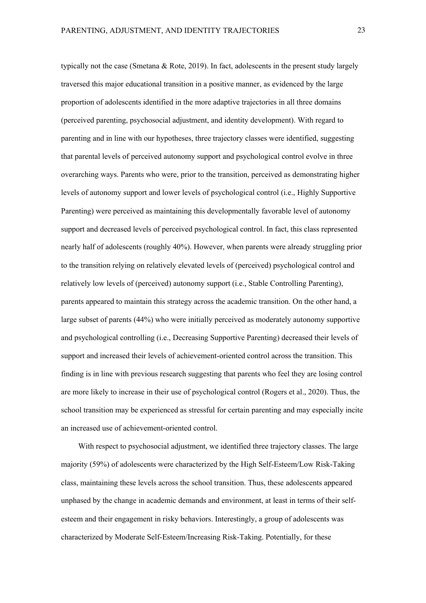typically not the case (Smetana & Rote, 2019). In fact, adolescents in the present study largely traversed this major educational transition in a positive manner, as evidenced by the large proportion of adolescents identified in the more adaptive trajectories in all three domains (perceived parenting, psychosocial adjustment, and identity development). With regard to parenting and in line with our hypotheses, three trajectory classes were identified, suggesting that parental levels of perceived autonomy support and psychological control evolve in three overarching ways. Parents who were, prior to the transition, perceived as demonstrating higher levels of autonomy support and lower levels of psychological control (i.e., Highly Supportive Parenting) were perceived as maintaining this developmentally favorable level of autonomy support and decreased levels of perceived psychological control. In fact, this class represented nearly half of adolescents (roughly 40%). However, when parents were already struggling prior to the transition relying on relatively elevated levels of (perceived) psychological control and relatively low levels of (perceived) autonomy support (i.e., Stable Controlling Parenting), parents appeared to maintain this strategy across the academic transition. On the other hand, a large subset of parents (44%) who were initially perceived as moderately autonomy supportive and psychological controlling (i.e., Decreasing Supportive Parenting) decreased their levels of support and increased their levels of achievement-oriented control across the transition. This finding is in line with previous research suggesting that parents who feel they are losing control are more likely to increase in their use of psychological control (Rogers et al., 2020). Thus, the school transition may be experienced as stressful for certain parenting and may especially incite an increased use of achievement-oriented control.

With respect to psychosocial adjustment, we identified three trajectory classes. The large majority (59%) of adolescents were characterized by the High Self-Esteem/Low Risk-Taking class, maintaining these levels across the school transition. Thus, these adolescents appeared unphased by the change in academic demands and environment, at least in terms of their selfesteem and their engagement in risky behaviors. Interestingly, a group of adolescents was characterized by Moderate Self-Esteem/Increasing Risk-Taking. Potentially, for these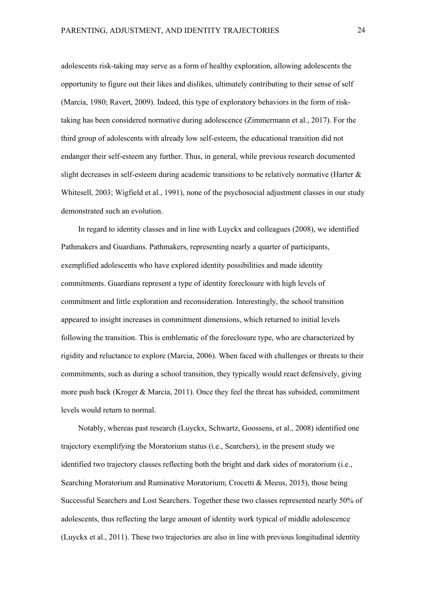adolescents risk-taking may serve as a form of healthy exploration, allowing adolescents the opportunity to figure out their likes and dislikes, ultimately contributing to their sense of self (Marcia, 1980; Ravert, 2009). Indeed, this type of exploratory behaviors in the form of risktaking has been considered normative during adolescence (Zimmermann et al., 2017). For the third group of adolescents with already low self-esteem, the educational transition did not endanger their self-esteem any further. Thus, in general, while previous research documented slight decreases in self-esteem during academic transitions to be relatively normative (Harter & Whitesell, 2003; Wigfield et al., 1991), none of the psychosocial adjustment classes in our study demonstrated such an evolution.

In regard to identity classes and in line with Luyckx and colleagues (2008), we identified Pathmakers and Guardians. Pathmakers, representing nearly a quarter of participants, exemplified adolescents who have explored identity possibilities and made identity commitments. Guardians represent a type of identity foreclosure with high levels of commitment and little exploration and reconsideration. Interestingly, the school transition appeared to insight increases in commitment dimensions, which returned to initial levels following the transition. This is emblematic of the foreclosure type, who are characterized by rigidity and reluctance to explore (Marcia, 2006). When faced with challenges or threats to their commitments, such as during a school transition, they typically would react defensively, giving more push back (Kroger & Marcia, 2011). Once they feel the threat has subsided, commitment levels would return to normal.

Notably, whereas past research (Luyckx, Schwartz, Goossens, et al., 2008) identified one trajectory exemplifying the Moratorium status (i.e., Searchers), in the present study we identified two trajectory classes reflecting both the bright and dark sides of moratorium (i.e., Searching Moratorium and Ruminative Moratorium; Crocetti & Meeus, 2015), those being Successful Searchers and Lost Searchers. Together these two classes represented nearly 50% of adolescents, thus reflecting the large amount of identity work typical of middle adolescence (Luyckx et al., 2011). These two trajectories are also in line with previous longitudinal identity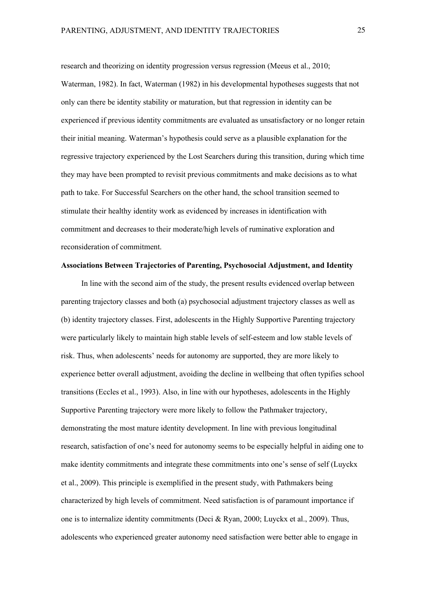research and theorizing on identity progression versus regression (Meeus et al., 2010; Waterman, 1982). In fact, Waterman (1982) in his developmental hypotheses suggests that not only can there be identity stability or maturation, but that regression in identity can be experienced if previous identity commitments are evaluated as unsatisfactory or no longer retain their initial meaning. Waterman's hypothesis could serve as a plausible explanation for the regressive trajectory experienced by the Lost Searchers during this transition, during which time they may have been prompted to revisit previous commitments and make decisions as to what path to take. For Successful Searchers on the other hand, the school transition seemed to stimulate their healthy identity work as evidenced by increases in identification with commitment and decreases to their moderate/high levels of ruminative exploration and reconsideration of commitment.

# **Associations Between Trajectories of Parenting, Psychosocial Adjustment, and Identity**

In line with the second aim of the study, the present results evidenced overlap between parenting trajectory classes and both (a) psychosocial adjustment trajectory classes as well as (b) identity trajectory classes. First, adolescents in the Highly Supportive Parenting trajectory were particularly likely to maintain high stable levels of self-esteem and low stable levels of risk. Thus, when adolescents' needs for autonomy are supported, they are more likely to experience better overall adjustment, avoiding the decline in wellbeing that often typifies school transitions (Eccles et al., 1993). Also, in line with our hypotheses, adolescents in the Highly Supportive Parenting trajectory were more likely to follow the Pathmaker trajectory, demonstrating the most mature identity development. In line with previous longitudinal research, satisfaction of one's need for autonomy seems to be especially helpful in aiding one to make identity commitments and integrate these commitments into one's sense of self (Luyckx et al., 2009). This principle is exemplified in the present study, with Pathmakers being characterized by high levels of commitment. Need satisfaction is of paramount importance if one is to internalize identity commitments (Deci & Ryan, 2000; Luyckx et al., 2009). Thus, adolescents who experienced greater autonomy need satisfaction were better able to engage in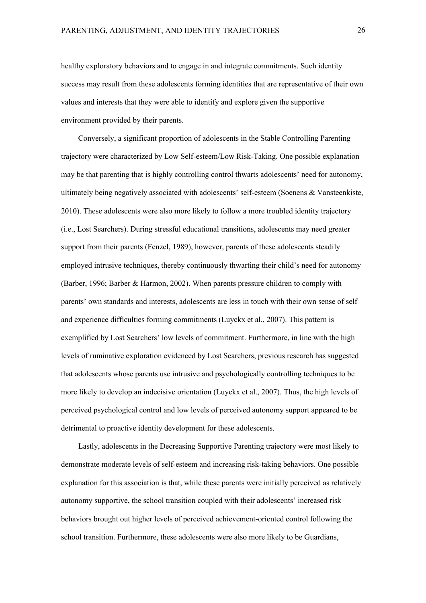healthy exploratory behaviors and to engage in and integrate commitments. Such identity success may result from these adolescents forming identities that are representative of their own values and interests that they were able to identify and explore given the supportive environment provided by their parents.

Conversely, a significant proportion of adolescents in the Stable Controlling Parenting trajectory were characterized by Low Self-esteem/Low Risk-Taking. One possible explanation may be that parenting that is highly controlling control thwarts adolescents' need for autonomy, ultimately being negatively associated with adolescents' self-esteem (Soenens & Vansteenkiste, 2010). These adolescents were also more likely to follow a more troubled identity trajectory (i.e., Lost Searchers). During stressful educational transitions, adolescents may need greater support from their parents (Fenzel, 1989), however, parents of these adolescents steadily employed intrusive techniques, thereby continuously thwarting their child's need for autonomy (Barber, 1996; Barber & Harmon, 2002). When parents pressure children to comply with parents' own standards and interests, adolescents are less in touch with their own sense of self and experience difficulties forming commitments (Luyckx et al., 2007). This pattern is exemplified by Lost Searchers' low levels of commitment. Furthermore, in line with the high levels of ruminative exploration evidenced by Lost Searchers, previous research has suggested that adolescents whose parents use intrusive and psychologically controlling techniques to be more likely to develop an indecisive orientation (Luyckx et al., 2007). Thus, the high levels of perceived psychological control and low levels of perceived autonomy support appeared to be detrimental to proactive identity development for these adolescents.

Lastly, adolescents in the Decreasing Supportive Parenting trajectory were most likely to demonstrate moderate levels of self-esteem and increasing risk-taking behaviors. One possible explanation for this association is that, while these parents were initially perceived as relatively autonomy supportive, the school transition coupled with their adolescents' increased risk behaviors brought out higher levels of perceived achievement-oriented control following the school transition. Furthermore, these adolescents were also more likely to be Guardians,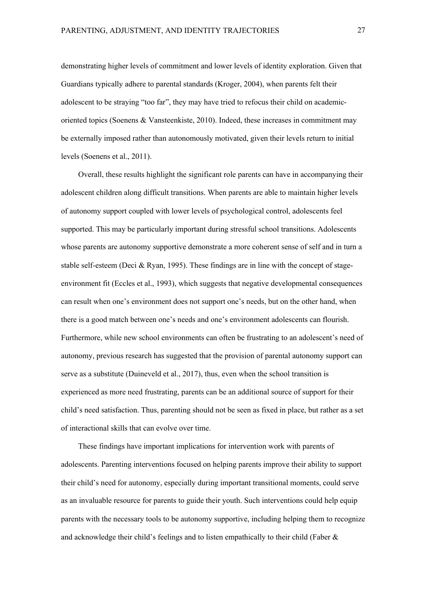demonstrating higher levels of commitment and lower levels of identity exploration. Given that Guardians typically adhere to parental standards (Kroger, 2004), when parents felt their adolescent to be straying "too far", they may have tried to refocus their child on academicoriented topics (Soenens & Vansteenkiste, 2010). Indeed, these increases in commitment may be externally imposed rather than autonomously motivated, given their levels return to initial levels (Soenens et al., 2011).

Overall, these results highlight the significant role parents can have in accompanying their adolescent children along difficult transitions. When parents are able to maintain higher levels of autonomy support coupled with lower levels of psychological control, adolescents feel supported. This may be particularly important during stressful school transitions. Adolescents whose parents are autonomy supportive demonstrate a more coherent sense of self and in turn a stable self-esteem (Deci & Ryan, 1995). These findings are in line with the concept of stageenvironment fit (Eccles et al., 1993), which suggests that negative developmental consequences can result when one's environment does not support one's needs, but on the other hand, when there is a good match between one's needs and one's environment adolescents can flourish. Furthermore, while new school environments can often be frustrating to an adolescent's need of autonomy, previous research has suggested that the provision of parental autonomy support can serve as a substitute (Duineveld et al., 2017), thus, even when the school transition is experienced as more need frustrating, parents can be an additional source of support for their child's need satisfaction. Thus, parenting should not be seen as fixed in place, but rather as a set of interactional skills that can evolve over time.

These findings have important implications for intervention work with parents of adolescents. Parenting interventions focused on helping parents improve their ability to support their child's need for autonomy, especially during important transitional moments, could serve as an invaluable resource for parents to guide their youth. Such interventions could help equip parents with the necessary tools to be autonomy supportive, including helping them to recognize and acknowledge their child's feelings and to listen empathically to their child (Faber &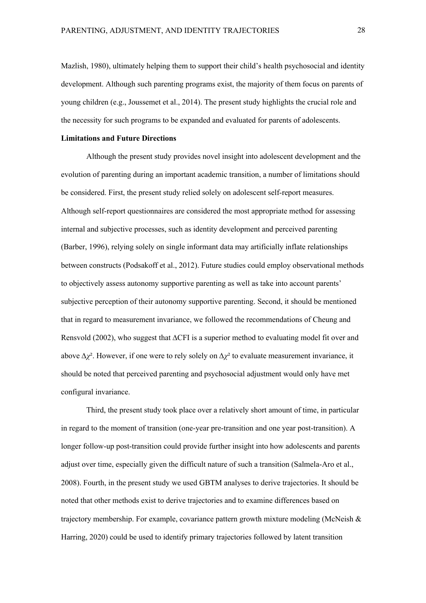Mazlish, 1980), ultimately helping them to support their child's health psychosocial and identity development. Although such parenting programs exist, the majority of them focus on parents of young children (e.g., Joussemet et al., 2014). The present study highlights the crucial role and the necessity for such programs to be expanded and evaluated for parents of adolescents.

# **Limitations and Future Directions**

Although the present study provides novel insight into adolescent development and the evolution of parenting during an important academic transition, a number of limitations should be considered. First, the present study relied solely on adolescent self-report measures. Although self-report questionnaires are considered the most appropriate method for assessing internal and subjective processes, such as identity development and perceived parenting (Barber, 1996), relying solely on single informant data may artificially inflate relationships between constructs (Podsakoff et al., 2012). Future studies could employ observational methods to objectively assess autonomy supportive parenting as well as take into account parents' subjective perception of their autonomy supportive parenting. Second, it should be mentioned that in regard to measurement invariance, we followed the recommendations of Cheung and Rensvold (2002), who suggest that ∆CFI is a superior method to evaluating model fit over and above *∆χ*². However, if one were to rely solely on *∆χ*² to evaluate measurement invariance, it should be noted that perceived parenting and psychosocial adjustment would only have met configural invariance.

Third, the present study took place over a relatively short amount of time, in particular in regard to the moment of transition (one-year pre-transition and one year post-transition). A longer follow-up post-transition could provide further insight into how adolescents and parents adjust over time, especially given the difficult nature of such a transition (Salmela-Aro et al., 2008). Fourth, in the present study we used GBTM analyses to derive trajectories. It should be noted that other methods exist to derive trajectories and to examine differences based on trajectory membership. For example, covariance pattern growth mixture modeling (McNeish & Harring, 2020) could be used to identify primary trajectories followed by latent transition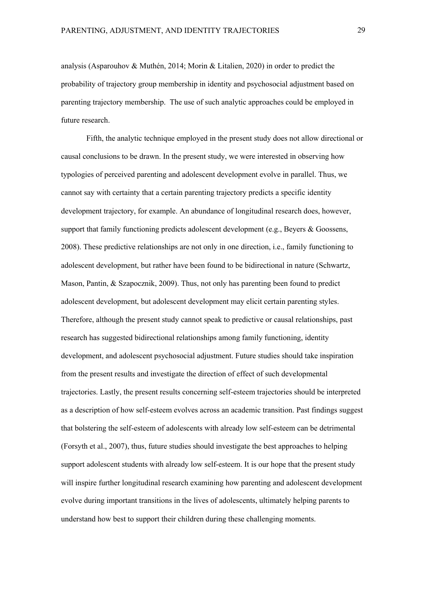analysis (Asparouhov & Muthén, 2014; Morin & Litalien, 2020) in order to predict the probability of trajectory group membership in identity and psychosocial adjustment based on parenting trajectory membership. The use of such analytic approaches could be employed in future research.

Fifth, the analytic technique employed in the present study does not allow directional or causal conclusions to be drawn. In the present study, we were interested in observing how typologies of perceived parenting and adolescent development evolve in parallel. Thus, we cannot say with certainty that a certain parenting trajectory predicts a specific identity development trajectory, for example. An abundance of longitudinal research does, however, support that family functioning predicts adolescent development (e.g., Beyers & Goossens, 2008). These predictive relationships are not only in one direction, i.e., family functioning to adolescent development, but rather have been found to be bidirectional in nature (Schwartz, Mason, Pantin, & Szapocznik, 2009). Thus, not only has parenting been found to predict adolescent development, but adolescent development may elicit certain parenting styles. Therefore, although the present study cannot speak to predictive or causal relationships, past research has suggested bidirectional relationships among family functioning, identity development, and adolescent psychosocial adjustment. Future studies should take inspiration from the present results and investigate the direction of effect of such developmental trajectories. Lastly, the present results concerning self-esteem trajectories should be interpreted as a description of how self-esteem evolves across an academic transition. Past findings suggest that bolstering the self-esteem of adolescents with already low self-esteem can be detrimental (Forsyth et al., 2007), thus, future studies should investigate the best approaches to helping support adolescent students with already low self-esteem. It is our hope that the present study will inspire further longitudinal research examining how parenting and adolescent development evolve during important transitions in the lives of adolescents, ultimately helping parents to understand how best to support their children during these challenging moments.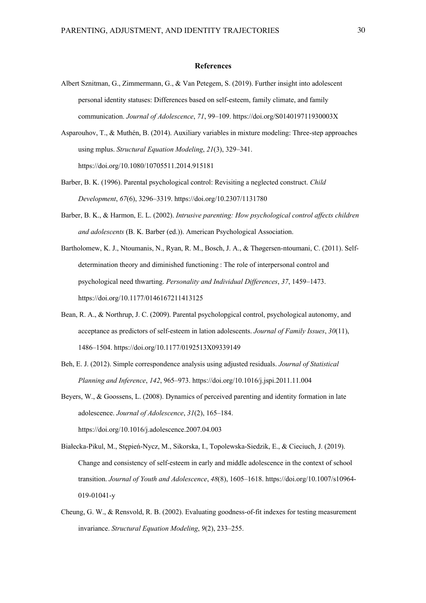#### **References**

Albert Sznitman, G., Zimmermann, G., & Van Petegem, S. (2019). Further insight into adolescent personal identity statuses: Differences based on self-esteem, family climate, and family communication. *Journal of Adolescence*, *71*, 99–109. https://doi.org/S014019711930003X

Asparouhov, T., & Muthén, B. (2014). Auxiliary variables in mixture modeling: Three-step approaches using mplus. *Structural Equation Modeling*, *21*(3), 329–341. https://doi.org/10.1080/10705511.2014.915181

- Barber, B. K. (1996). Parental psychological control: Revisiting a neglected construct. *Child Development*, *67*(6), 3296–3319. https://doi.org/10.2307/1131780
- Barber, B. K., & Harmon, E. L. (2002). *Intrusive parenting: How psychological control affects children and adolescents* (B. K. Barber (ed.)). American Psychological Association.
- Bartholomew, K. J., Ntoumanis, N., Ryan, R. M., Bosch, J. A., & Thøgersen-ntoumani, C. (2011). Selfdetermination theory and diminished functioning : The role of interpersonal control and psychological need thwarting. *Personality and Individual Differences*, *37*, 1459–1473. https://doi.org/10.1177/0146167211413125
- Bean, R. A., & Northrup, J. C. (2009). Parental psycholopgical control, psychological autonomy, and acceptance as predictors of self-esteem in lation adolescents. *Journal of Family Issues*, *30*(11), 1486–1504. https://doi.org/10.1177/0192513X09339149
- Beh, E. J. (2012). Simple correspondence analysis using adjusted residuals. *Journal of Statistical Planning and Inference*, *142*, 965–973. https://doi.org/10.1016/j.jspi.2011.11.004
- Beyers, W., & Goossens, L. (2008). Dynamics of perceived parenting and identity formation in late adolescence. *Journal of Adolescence*, *31*(2), 165–184. https://doi.org/10.1016/j.adolescence.2007.04.003
- Białecka-Pikul, M., Stępień-Nycz, M., Sikorska, I., Topolewska-Siedzik, E., & Cieciuch, J. (2019). Change and consistency of self-esteem in early and middle adolescence in the context of school transition. *Journal of Youth and Adolescence*, *48*(8), 1605–1618. https://doi.org/10.1007/s10964- 019-01041-y
- Cheung, G. W., & Rensvold, R. B. (2002). Evaluating goodness-of-fit indexes for testing measurement invariance. *Structural Equation Modeling*, *9*(2), 233–255.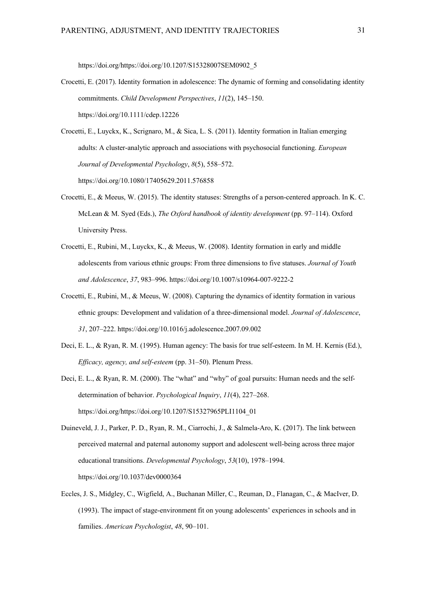https://doi.org/https://doi.org/10.1207/S15328007SEM0902\_5

- Crocetti, E. (2017). Identity formation in adolescence: The dynamic of forming and consolidating identity commitments. *Child Development Perspectives*, *11*(2), 145–150. https://doi.org/10.1111/cdep.12226
- Crocetti, E., Luyckx, K., Scrignaro, M., & Sica, L. S. (2011). Identity formation in Italian emerging adults: A cluster-analytic approach and associations with psychosocial functioning. *European Journal of Developmental Psychology*, *8*(5), 558–572. https://doi.org/10.1080/17405629.2011.576858
- Crocetti, E., & Meeus, W. (2015). The identity statuses: Strengths of a person-centered approach. In K. C. McLean & M. Syed (Eds.), *The Oxford handbook of identity development* (pp. 97–114). Oxford University Press.
- Crocetti, E., Rubini, M., Luyckx, K., & Meeus, W. (2008). Identity formation in early and middle adolescents from various ethnic groups: From three dimensions to five statuses. *Journal of Youth and Adolescence*, *37*, 983–996. https://doi.org/10.1007/s10964-007-9222-2
- Crocetti, E., Rubini, M., & Meeus, W. (2008). Capturing the dynamics of identity formation in various ethnic groups: Development and validation of a three-dimensional model. *Journal of Adolescence*, *31*, 207–222. https://doi.org/10.1016/j.adolescence.2007.09.002
- Deci, E. L., & Ryan, R. M. (1995). Human agency: The basis for true self-esteem. In M. H. Kernis (Ed.), *Efficacy, agency, and self-esteem* (pp. 31–50). Plenum Press.
- Deci, E. L., & Ryan, R. M. (2000). The "what" and "why" of goal pursuits: Human needs and the selfdetermination of behavior. *Psychological Inquiry*, *11*(4), 227–268. https://doi.org/https://doi.org/10.1207/S15327965PLI1104\_01
- Duineveld, J. J., Parker, P. D., Ryan, R. M., Ciarrochi, J., & Salmela-Aro, K. (2017). The link between perceived maternal and paternal autonomy support and adolescent well-being across three major educational transitions. *Developmental Psychology*, *53*(10), 1978–1994. https://doi.org/10.1037/dev0000364
- Eccles, J. S., Midgley, C., Wigfield, A., Buchanan Miller, C., Reuman, D., Flanagan, C., & MacIver, D. (1993). The impact of stage-environment fit on young adolescents' experiences in schools and in families. *American Psychologist*, *48*, 90–101.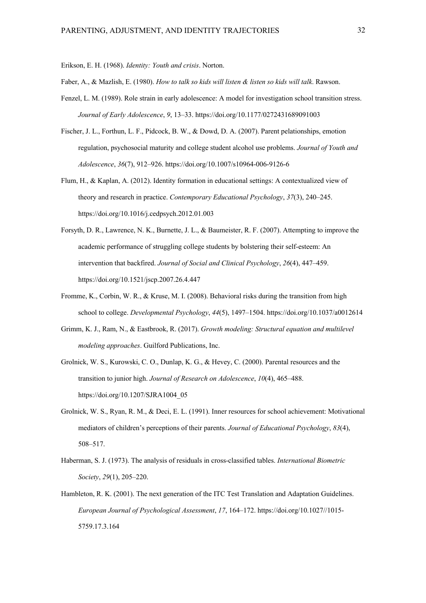Erikson, E. H. (1968). *Identity: Youth and crisis*. Norton.

Faber, A., & Mazlish, E. (1980). *How to talk so kids will listen & listen so kids will talk*. Rawson.

- Fenzel, L. M. (1989). Role strain in early adolescence: A model for investigation school transition stress. *Journal of Early Adolescence*, *9*, 13–33. https://doi.org/10.1177/0272431689091003
- Fischer, J. L., Forthun, L. F., Pidcock, B. W., & Dowd, D. A. (2007). Parent pelationships, emotion regulation, psychosocial maturity and college student alcohol use problems. *Journal of Youth and Adolescence*, *36*(7), 912–926. https://doi.org/10.1007/s10964-006-9126-6
- Flum, H., & Kaplan, A. (2012). Identity formation in educational settings: A contextualized view of theory and research in practice. *Contemporary Educational Psychology*, *37*(3), 240–245. https://doi.org/10.1016/j.cedpsych.2012.01.003
- Forsyth, D. R., Lawrence, N. K., Burnette, J. L., & Baumeister, R. F. (2007). Attempting to improve the academic performance of struggling college students by bolstering their self-esteem: An intervention that backfired. *Journal of Social and Clinical Psychology*, *26*(4), 447–459. https://doi.org/10.1521/jscp.2007.26.4.447
- Fromme, K., Corbin, W. R., & Kruse, M. I. (2008). Behavioral risks during the transition from high school to college. *Developmental Psychology*, *44*(5), 1497–1504. https://doi.org/10.1037/a0012614
- Grimm, K. J., Ram, N., & Eastbrook, R. (2017). *Growth modeling: Structural equation and multilevel modeling approaches*. Guilford Publications, Inc.
- Grolnick, W. S., Kurowski, C. O., Dunlap, K. G., & Hevey, C. (2000). Parental resources and the transition to junior high. *Journal of Research on Adolescence*, *10*(4), 465–488. https://doi.org/10.1207/SJRA1004\_05
- Grolnick, W. S., Ryan, R. M., & Deci, E. L. (1991). Inner resources for school achievement: Motivational mediators of children's perceptions of their parents. *Journal of Educational Psychology*, *83*(4), 508–517.
- Haberman, S. J. (1973). The analysis of residuals in cross-classified tables. *International Biometric Society*, *29*(1), 205–220.
- Hambleton, R. K. (2001). The next generation of the ITC Test Translation and Adaptation Guidelines. *European Journal of Psychological Assessment*, *17*, 164–172. https://doi.org/10.1027//1015- 5759.17.3.164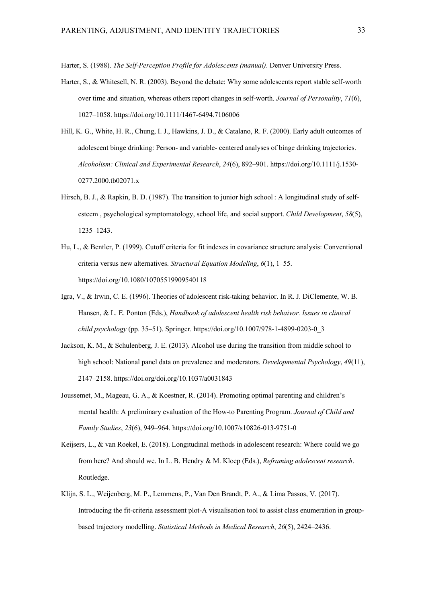Harter, S. (1988). *The Self-Perception Profile for Adolescents (manual)*. Denver University Press.

- Harter, S., & Whitesell, N. R. (2003). Beyond the debate: Why some adolescents report stable self-worth over time and situation, whereas others report changes in self-worth. *Journal of Personality*, *71*(6), 1027–1058. https://doi.org/10.1111/1467-6494.7106006
- Hill, K. G., White, H. R., Chung, I. J., Hawkins, J. D., & Catalano, R. F. (2000). Early adult outcomes of adolescent binge drinking: Person- and variable- centered analyses of binge drinking trajectories. *Alcoholism: Clinical and Experimental Research*, *24*(6), 892–901. https://doi.org/10.1111/j.1530- 0277.2000.tb02071.x
- Hirsch, B. J., & Rapkin, B. D. (1987). The transition to junior high school : A longitudinal study of selfesteem , psychological symptomatology, school life, and social support. *Child Development*, *58*(5), 1235–1243.
- Hu, L., & Bentler, P. (1999). Cutoff criteria for fit indexes in covariance structure analysis: Conventional criteria versus new alternatives. *Structural Equation Modeling*, *6*(1), 1–55. https://doi.org/10.1080/10705519909540118
- Igra, V., & Irwin, C. E. (1996). Theories of adolescent risk-taking behavior. In R. J. DiClemente, W. B. Hansen, & L. E. Ponton (Eds.), *Handbook of adolescent health risk behaivor. Issues in clinical child psychology* (pp. 35–51). Springer. https://doi.org/10.1007/978-1-4899-0203-0\_3
- Jackson, K. M., & Schulenberg, J. E. (2013). Alcohol use during the transition from middle school to high school: National panel data on prevalence and moderators. *Developmental Psychology*, *49*(11), 2147–2158. https://doi.org/doi.org/10.1037/a0031843
- Joussemet, M., Mageau, G. A., & Koestner, R. (2014). Promoting optimal parenting and children's mental health: A preliminary evaluation of the How-to Parenting Program. *Journal of Child and Family Studies*, *23*(6), 949–964. https://doi.org/10.1007/s10826-013-9751-0
- Keijsers, L., & van Roekel, E. (2018). Longitudinal methods in adolescent research: Where could we go from here? And should we. In L. B. Hendry & M. Kloep (Eds.), *Reframing adolescent research*. Routledge.
- Klijn, S. L., Weijenberg, M. P., Lemmens, P., Van Den Brandt, P. A., & Lima Passos, V. (2017). Introducing the fit-criteria assessment plot-A visualisation tool to assist class enumeration in groupbased trajectory modelling. *Statistical Methods in Medical Research*, *26*(5), 2424–2436.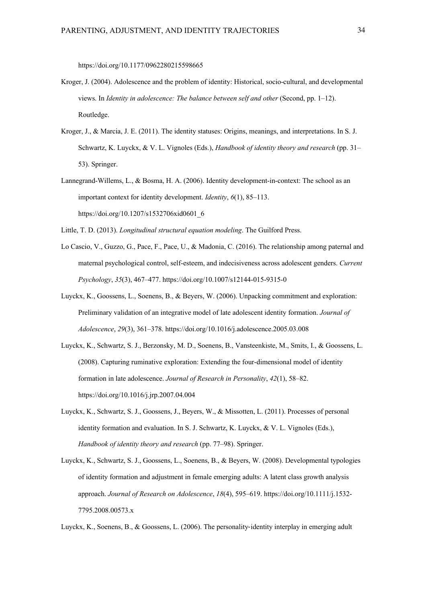https://doi.org/10.1177/0962280215598665

- Kroger, J. (2004). Adolescence and the problem of identity: Historical, socio-cultural, and developmental views. In *Identity in adolescence: The balance between self and other* (Second, pp. 1–12). Routledge.
- Kroger, J., & Marcia, J. E. (2011). The identity statuses: Origins, meanings, and interpretations. In S. J. Schwartz, K. Luyckx, & V. L. Vignoles (Eds.), *Handbook of identity theory and research* (pp. 31– 53). Springer.
- Lannegrand-Willems, L., & Bosma, H. A. (2006). Identity development-in-context: The school as an important context for identity development. *Identity*, *6*(1), 85–113. https://doi.org/10.1207/s1532706xid0601\_6
- Little, T. D. (2013). *Longitudinal structural equation modeling*. The Guilford Press.
- Lo Cascio, V., Guzzo, G., Pace, F., Pace, U., & Madonia, C. (2016). The relationship among paternal and maternal psychological control, self-esteem, and indecisiveness across adolescent genders. *Current Psychology*, *35*(3), 467–477. https://doi.org/10.1007/s12144-015-9315-0
- Luyckx, K., Goossens, L., Soenens, B., & Beyers, W. (2006). Unpacking commitment and exploration: Preliminary validation of an integrative model of late adolescent identity formation. *Journal of Adolescence*, *29*(3), 361–378. https://doi.org/10.1016/j.adolescence.2005.03.008
- Luyckx, K., Schwartz, S. J., Berzonsky, M. D., Soenens, B., Vansteenkiste, M., Smits, I., & Goossens, L. (2008). Capturing ruminative exploration: Extending the four-dimensional model of identity formation in late adolescence. *Journal of Research in Personality*, *42*(1), 58–82. https://doi.org/10.1016/j.jrp.2007.04.004
- Luyckx, K., Schwartz, S. J., Goossens, J., Beyers, W., & Missotten, L. (2011). Processes of personal identity formation and evaluation. In S. J. Schwartz, K. Luyckx, & V. L. Vignoles (Eds.), *Handbook of identity theory and research* (pp. 77–98). Springer.
- Luyckx, K., Schwartz, S. J., Goossens, L., Soenens, B., & Beyers, W. (2008). Developmental typologies of identity formation and adjustment in female emerging adults: A latent class growth analysis approach. *Journal of Research on Adolescence*, *18*(4), 595–619. https://doi.org/10.1111/j.1532- 7795.2008.00573.x

Luyckx, K., Soenens, B., & Goossens, L. (2006). The personality-identity interplay in emerging adult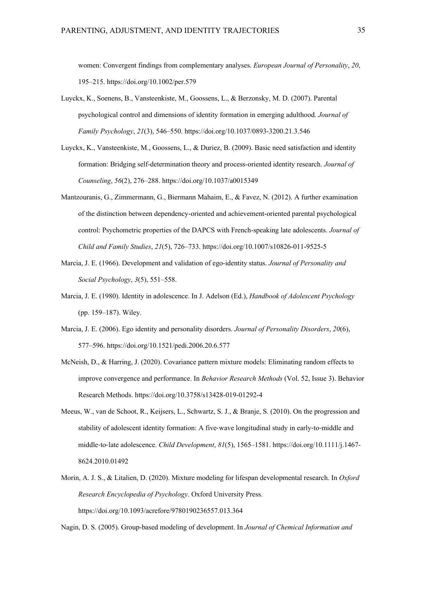women: Convergent findings from complementary analyses. *European Journal of Personality*, *20*, 195–215. https://doi.org/10.1002/per.579

- Luyckx, K., Soenens, B., Vansteenkiste, M., Goossens, L., & Berzonsky, M. D. (2007). Parental psychological control and dimensions of identity formation in emerging adulthood. *Journal of Family Psychology*, *21*(3), 546–550. https://doi.org/10.1037/0893-3200.21.3.546
- Luyckx, K., Vansteenkiste, M., Goossens, L., & Duriez, B. (2009). Basic need satisfaction and identity formation: Bridging self-determination theory and process-oriented identity research. *Journal of Counseling*, *56*(2), 276–288. https://doi.org/10.1037/a0015349
- Mantzouranis, G., Zimmermann, G., Biermann Mahaim, E., & Favez, N. (2012). A further examination of the distinction between dependency-oriented and achievement-oriented parental psychological control: Psychometric properties of the DAPCS with French-speaking late adolescents. *Journal of Child and Family Studies*, *21*(5), 726–733. https://doi.org/10.1007/s10826-011-9525-5
- Marcia, J. E. (1966). Development and validation of ego-identity status. *Journal of Personality and Social Psychology*, *3*(5), 551–558.
- Marcia, J. E. (1980). Identity in adolescence. In J. Adelson (Ed.), *Handbook of Adolescent Psychology* (pp. 159–187). Wiley.
- Marcia, J. E. (2006). Ego identity and personality disorders. *Journal of Personality Disorders*, *20*(6), 577–596. https://doi.org/10.1521/pedi.2006.20.6.577
- McNeish, D., & Harring, J. (2020). Covariance pattern mixture models: Eliminating random effects to improve convergence and performance. In *Behavior Research Methods* (Vol. 52, Issue 3). Behavior Research Methods. https://doi.org/10.3758/s13428-019-01292-4
- Meeus, W., van de Schoot, R., Keijsers, L., Schwartz, S. J., & Branje, S. (2010). On the progression and stability of adolescent identity formation: A five-wave longitudinal study in early-to-middle and middle-to-late adolescence. *Child Development*, *81*(5), 1565–1581. https://doi.org/10.1111/j.1467- 8624.2010.01492
- Morin, A. J. S., & Litalien, D. (2020). Mixture modeling for lifespan developmental research. In *Oxford Research Encyclopedia of Psychology*. Oxford University Press. https://doi.org/10.1093/acrefore/9780190236557.013.364

Nagin, D. S. (2005). Group-based modeling of development. In *Journal of Chemical Information and*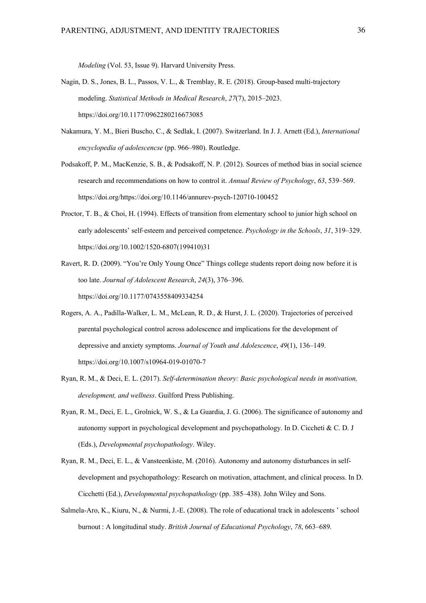*Modeling* (Vol. 53, Issue 9). Harvard University Press.

- Nagin, D. S., Jones, B. L., Passos, V. L., & Tremblay, R. E. (2018). Group-based multi-trajectory modeling. *Statistical Methods in Medical Research*, *27*(7), 2015–2023. https://doi.org/10.1177/0962280216673085
- Nakamura, Y. M., Bieri Buscho, C., & Sedlak, I. (2007). Switzerland. In J. J. Arnett (Ed.), *International encyclopedia of adolescencse* (pp. 966–980). Routledge.
- Podsakoff, P. M., MacKenzie, S. B., & Podsakoff, N. P. (2012). Sources of method bias in social science research and recommendations on how to control it. *Annual Review of Psychology*, *63*, 539–569. https://doi.org/https://doi.org/10.1146/annurev-psych-120710-100452
- Proctor, T. B., & Choi, H. (1994). Effects of transition from elementary school to junior high school on early adolescents' self-esteem and perceived competence. *Psychology in the Schools*, *31*, 319–329. https://doi.org/10.1002/1520-6807(199410)31
- Ravert, R. D. (2009). "You're Only Young Once" Things college students report doing now before it is too late. *Journal of Adolescent Research*, *24*(3), 376–396. https://doi.org/10.1177/0743558409334254
- Rogers, A. A., Padilla-Walker, L. M., McLean, R. D., & Hurst, J. L. (2020). Trajectories of perceived parental psychological control across adolescence and implications for the development of depressive and anxiety symptoms. *Journal of Youth and Adolescence*, *49*(1), 136–149. https://doi.org/10.1007/s10964-019-01070-7
- Ryan, R. M., & Deci, E. L. (2017). *Self-determination theory: Basic psychological needs in motivation, development, and wellness*. Guilford Press Publishing.
- Ryan, R. M., Deci, E. L., Grolnick, W. S., & La Guardia, J. G. (2006). The significance of autonomy and autonomy support in psychological development and psychopathology. In D. Ciccheti & C. D. J (Eds.), *Developmental psychopathology*. Wiley.
- Ryan, R. M., Deci, E. L., & Vansteenkiste, M. (2016). Autonomy and autonomy disturbances in selfdevelopment and psychopathology: Research on motivation, attachment, and clinical process. In D. Cicchetti (Ed.), *Developmental psychopathology* (pp. 385–438). John Wiley and Sons.
- Salmela-Aro, K., Kiuru, N., & Nurmi, J.-E. (2008). The role of educational track in adolescents ' school burnout : A longitudinal study. *British Journal of Educational Psychology*, *78*, 663–689.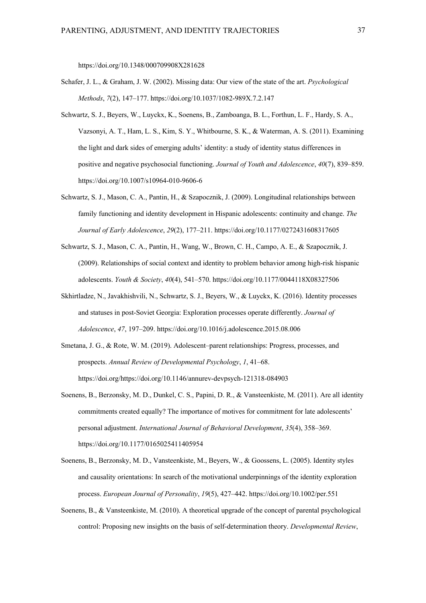https://doi.org/10.1348/000709908X281628

- Schafer, J. L., & Graham, J. W. (2002). Missing data: Our view of the state of the art. *Psychological Methods*, *7*(2), 147–177. https://doi.org/10.1037/1082-989X.7.2.147
- Schwartz, S. J., Beyers, W., Luyckx, K., Soenens, B., Zamboanga, B. L., Forthun, L. F., Hardy, S. A., Vazsonyi, A. T., Ham, L. S., Kim, S. Y., Whitbourne, S. K., & Waterman, A. S. (2011). Examining the light and dark sides of emerging adults' identity: a study of identity status differences in positive and negative psychosocial functioning. *Journal of Youth and Adolescence*, *40*(7), 839–859. https://doi.org/10.1007/s10964-010-9606-6
- Schwartz, S. J., Mason, C. A., Pantin, H., & Szapocznik, J. (2009). Longitudinal relationships between family functioning and identity development in Hispanic adolescents: continuity and change. *The Journal of Early Adolescence*, *29*(2), 177–211. https://doi.org/10.1177/0272431608317605
- Schwartz, S. J., Mason, C. A., Pantin, H., Wang, W., Brown, C. H., Campo, A. E., & Szapocznik, J. (2009). Relationships of social context and identity to problem behavior among high-risk hispanic adolescents. *Youth & Society*, *40*(4), 541–570. https://doi.org/10.1177/0044118X08327506
- Skhirtladze, N., Javakhishvili, N., Schwartz, S. J., Beyers, W., & Luyckx, K. (2016). Identity processes and statuses in post-Soviet Georgia: Exploration processes operate differently. *Journal of Adolescence*, *47*, 197–209. https://doi.org/10.1016/j.adolescence.2015.08.006
- Smetana, J. G., & Rote, W. M. (2019). Adolescent–parent relationships: Progress, processes, and prospects. *Annual Review of Developmental Psychology*, *1*, 41–68. https://doi.org/https://doi.org/10.1146/annurev-devpsych-121318-084903
- Soenens, B., Berzonsky, M. D., Dunkel, C. S., Papini, D. R., & Vansteenkiste, M. (2011). Are all identity commitments created equally? The importance of motives for commitment for late adolescents' personal adjustment. *International Journal of Behavioral Development*, *35*(4), 358–369. https://doi.org/10.1177/0165025411405954
- Soenens, B., Berzonsky, M. D., Vansteenkiste, M., Beyers, W., & Goossens, L. (2005). Identity styles and causality orientations: In search of the motivational underpinnings of the identity exploration process. *European Journal of Personality*, *19*(5), 427–442. https://doi.org/10.1002/per.551
- Soenens, B., & Vansteenkiste, M. (2010). A theoretical upgrade of the concept of parental psychological control: Proposing new insights on the basis of self-determination theory. *Developmental Review*,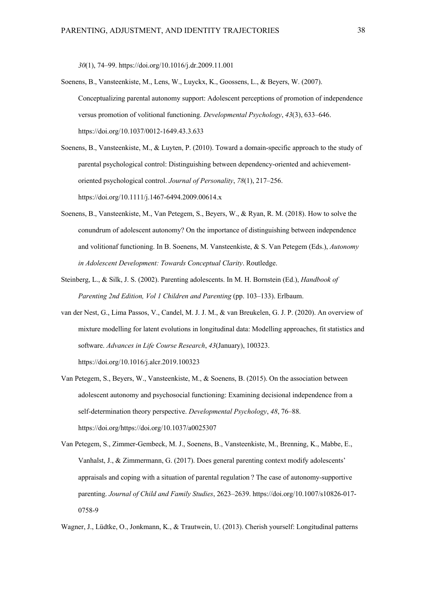*30*(1), 74–99. https://doi.org/10.1016/j.dr.2009.11.001

- Soenens, B., Vansteenkiste, M., Lens, W., Luyckx, K., Goossens, L., & Beyers, W. (2007). Conceptualizing parental autonomy support: Adolescent perceptions of promotion of independence versus promotion of volitional functioning. *Developmental Psychology*, *43*(3), 633–646. https://doi.org/10.1037/0012-1649.43.3.633
- Soenens, B., Vansteenkiste, M., & Luyten, P. (2010). Toward a domain-specific approach to the study of parental psychological control: Distinguishing between dependency-oriented and achievementoriented psychological control. *Journal of Personality*, *78*(1), 217–256. https://doi.org/10.1111/j.1467-6494.2009.00614.x
- Soenens, B., Vansteenkiste, M., Van Petegem, S., Beyers, W., & Ryan, R. M. (2018). How to solve the conundrum of adolescent autonomy? On the importance of distinguishing between independence and volitionaf functioning. In B. Soenens, M. Vansteenkiste, & S. Van Petegem (Eds.), *Autonomy in Adolescent Development: Towards Conceptual Clarity*. Routledge.
- Steinberg, L., & Silk, J. S. (2002). Parenting adolescents. In M. H. Bornstein (Ed.), *Handbook of Parenting 2nd Edition, Vol 1 Children and Parenting* (pp. 103–133). Erlbaum.
- van der Nest, G., Lima Passos, V., Candel, M. J. J. M., & van Breukelen, G. J. P. (2020). An overview of mixture modelling for latent evolutions in longitudinal data: Modelling approaches, fit statistics and software. *Advances in Life Course Research*, *43*(January), 100323. https://doi.org/10.1016/j.alcr.2019.100323
- Van Petegem, S., Beyers, W., Vansteenkiste, M., & Soenens, B. (2015). On the association between adolescent autonomy and psychosocial functioning: Examining decisional independence from a self-determination theory perspective. *Developmental Psychology*, *48*, 76–88. https://doi.org/https://doi.org/10.1037/a0025307
- Van Petegem, S., Zimmer-Gembeck, M. J., Soenens, B., Vansteenkiste, M., Brenning, K., Mabbe, E., Vanhalst, J., & Zimmermann, G. (2017). Does general parenting context modify adolescents' appraisals and coping with a situation of parental regulation ? The case of autonomy-supportive parenting. *Journal of Child and Family Studies*, 2623–2639. https://doi.org/10.1007/s10826-017- 0758-9
- Wagner, J., Lüdtke, O., Jonkmann, K., & Trautwein, U. (2013). Cherish yourself: Longitudinal patterns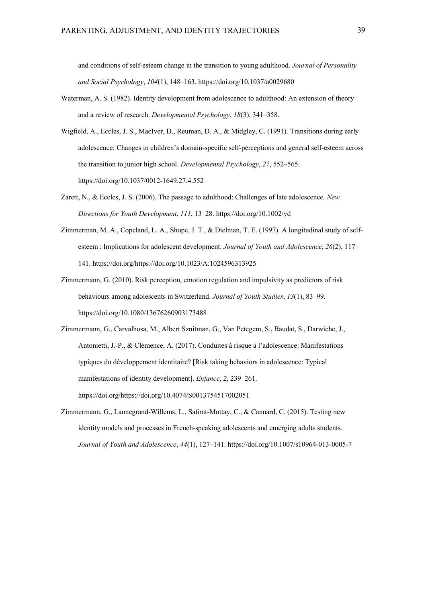and conditions of self-esteem change in the transition to young adulthood. *Journal of Personality and Social Psychology*, *104*(1), 148–163. https://doi.org/10.1037/a0029680

- Waterman, A. S. (1982). Identity development from adolescence to adulthood: An extension of theory and a review of research. *Developmental Psychology*, *18*(3), 341–358.
- Wigfield, A., Eccles, J. S., MacIver, D., Reuman, D. A., & Midgley, C. (1991). Transitions during early adolescence: Changes in children's domain-specific self-perceptions and general self-esteem across the transition to junior high school. *Developmental Psychology*, *27*, 552–565. https://doi.org/10.1037/0012-1649.27.4.552
- Zarett, N., & Eccles, J. S. (2006). The passage to adulthood: Challenges of late adolescence. *New Directions for Youth Development*, *111*, 13–28. https://doi.org/10.1002/yd
- Zimmerman, M. A., Copeland, L. A., Shope, J. T., & Dielman, T. E. (1997). A longitudinal study of selfesteem : Implications for adolescent development. *Journal of Youth and Adolescence*, *26*(2), 117– 141. https://doi.org/https://doi.org/10.1023/A:1024596313925
- Zimmermann, G. (2010). Risk perception, emotion regulation and impulsivity as predictors of risk behaviours among adolescents in Switzerland. *Journal of Youth Studies*, *13*(1), 83–99. https://doi.org/10.1080/13676260903173488
- Zimmermann, G., Carvalhosa, M., Albert Sznitman, G., Van Petegem, S., Baudat, S., Darwiche, J., Antonietti, J.-P., & Clémence, A. (2017). Conduites à risque à l'adolescence: Manifestations typiques du développement identitaire? [Risk taking behaviors in adolescence: Typical manifestations of identity development]. *Enfance*, *2*, 239–261. https://doi.org/https://doi.org/10.4074/S0013754517002051
- Zimmermann, G., Lannegrand-Willems, L., Safont-Mottay, C., & Cannard, C. (2015). Testing new identity models and processes in French-speaking adolescents and emerging adults students. *Journal of Youth and Adolescence*, *44*(1), 127–141. https://doi.org/10.1007/s10964-013-0005-7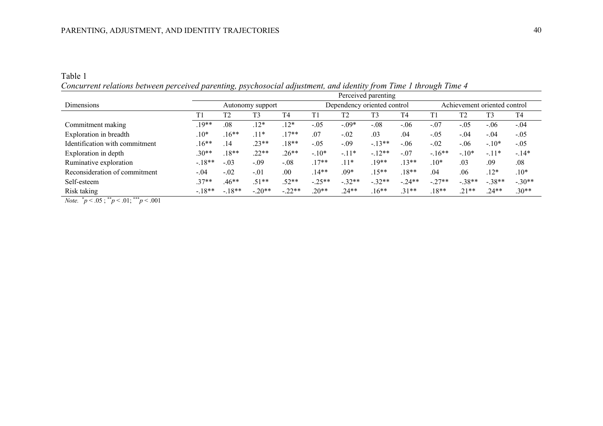# Table 1 *Concurrent relations between perceived parenting, psychosocial adjustment, and identity from Time 1 through Time 4*

|                                                                                                                                                                                                                                                                                                                                                             |                  | Perceived parenting |          |                             |          |                |                              |          |          |                |          |                |
|-------------------------------------------------------------------------------------------------------------------------------------------------------------------------------------------------------------------------------------------------------------------------------------------------------------------------------------------------------------|------------------|---------------------|----------|-----------------------------|----------|----------------|------------------------------|----------|----------|----------------|----------|----------------|
| Dimensions                                                                                                                                                                                                                                                                                                                                                  | Autonomy support |                     |          | Dependency oriented control |          |                | Achievement oriented control |          |          |                |          |                |
|                                                                                                                                                                                                                                                                                                                                                             | T1               | T <sub>2</sub>      | T3       | T <sub>4</sub>              | T1       | T <sub>2</sub> | T3                           | T4       | T1       | T <sub>2</sub> | T3       | T <sub>4</sub> |
| Commitment making                                                                                                                                                                                                                                                                                                                                           | $.19**$          | .08                 | $.12*$   | $.12*$                      | $-.05$   | $-.09*$        | $-.08$                       | $-.06$   | $-.07$   | $-.05$         | $-.06$   | $-.04$         |
| Exploration in breadth                                                                                                                                                                                                                                                                                                                                      | $.10*$           | $.16**$             | $.11*$   | $.17**$                     | .07      | $-.02$         | .03                          | .04      | $-.05$   | $-.04$         | $-.04$   | $-.05$         |
| Identification with commitment                                                                                                                                                                                                                                                                                                                              | $.16**$          | .14                 | $.23**$  | $.18**$                     | $-.05$   | $-.09$         | $-13**$                      | $-.06$   | $-.02$   | $-.06$         | $-.10*$  | $-.05$         |
| Exploration in depth                                                                                                                                                                                                                                                                                                                                        | $.30**$          | $.18**$             | $.22**$  | $.26**$                     | $-.10*$  | $-.11*$        | $-12**$                      | $-.07$   | $-16**$  | $-.10*$        | $-.11*$  | $-.14*$        |
| Ruminative exploration                                                                                                                                                                                                                                                                                                                                      | $-.18**$         | $-.03$              | $-.09$   | $-.08$                      | $.17**$  | $.11*$         | $.19**$                      | $.13**$  | $.10*$   | .03            | .09      | .08            |
| Reconsideration of commitment                                                                                                                                                                                                                                                                                                                               | $-.04$           | $-.02$              | $-.01$   | .00                         | $.14**$  | $.09*$         | $.15***$                     | $.18**$  | .04      | .06            | $.12*$   | $.10*$         |
| Self-esteem                                                                                                                                                                                                                                                                                                                                                 | $.37**$          | $.46**$             | $.51**$  | $.52**$                     | $-.25**$ | $-.32**$       | $-.32**$                     | $-.24**$ | $-.27**$ | $-.38**$       | $-.38**$ | $-.30**$       |
| Risk taking                                                                                                                                                                                                                                                                                                                                                 | $-18**$          | $-.18**$            | $-.20**$ | $-.22**$                    | $.20**$  | $.24**$        | $.16**$                      | $.31**$  | $.18**$  | $.21**$        | $.24**$  | $.30**$        |
| $\mathcal{M}$ $\mathcal{N}$ $\mathcal{N}$ $\mathcal{N}$ $\mathcal{N}$ $\mathcal{N}$ $\mathcal{N}$ $\mathcal{N}$ $\mathcal{N}$ $\mathcal{N}$ $\mathcal{N}$ $\mathcal{N}$ $\mathcal{N}$ $\mathcal{N}$ $\mathcal{N}$ $\mathcal{N}$ $\mathcal{N}$ $\mathcal{N}$ $\mathcal{N}$ $\mathcal{N}$ $\mathcal{N}$ $\mathcal{N}$ $\mathcal{N}$ $\mathcal{N}$ $\mathcal{$ |                  |                     |          |                             |          |                |                              |          |          |                |          |                |

*Note.*  $^*p < .05$ ;  $^*p < .01$ ;  $^{**}p < .001$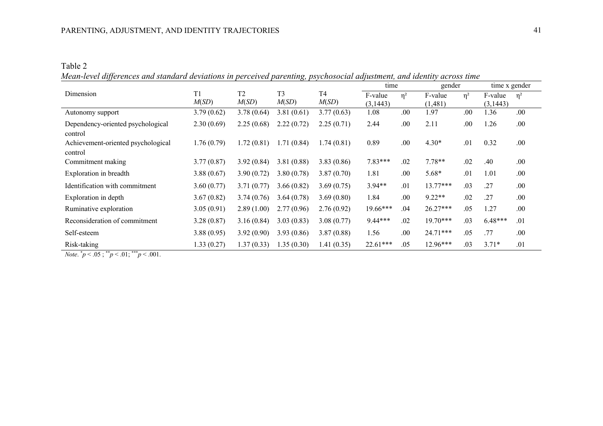Table 2 *Mean-level differences and standard deviations in perceived parenting, psychosocial adjustment, and identity across time*

|                                    |            |                |                |                | time      |          | gender     |          | time x gender |          |
|------------------------------------|------------|----------------|----------------|----------------|-----------|----------|------------|----------|---------------|----------|
| Dimension                          | T1         | T <sub>2</sub> | T <sub>3</sub> | T <sub>4</sub> | F-value   | $\eta^2$ | F-value    | $\eta^2$ | F-value       | $\eta^2$ |
|                                    | M(SD)      | M(SD)          | M(SD)          | M(SD)          | (3, 1443) |          | (1,481)    |          | (3,1443)      |          |
| Autonomy support                   | 3.79(0.62) | 3.78(0.64)     | 3.81(0.61)     | 3.77(0.63)     | 1.08      | .00      | 1.97       | .00      | 1.36          | .00      |
| Dependency-oriented psychological  | 2.30(0.69) | 2.25(0.68)     | 2.22(0.72)     | 2.25(0.71)     | 2.44      | .00      | 2.11       | .00      | 1.26          | .00      |
| control                            |            |                |                |                |           |          |            |          |               |          |
| Achievement-oriented psychological | 1.76(0.79) | 1.72(0.81)     | 1.71(0.84)     | 1.74(0.81)     | 0.89      | .00      | $4.30*$    | .01      | 0.32          | .00      |
| control                            |            |                |                |                |           |          |            |          |               |          |
| Commitment making                  | 3.77(0.87) | 3.92(0.84)     | 3.81(0.88)     | 3.83(0.86)     | $7.83***$ | .02      | $7.78**$   | .02      | .40           | .00      |
| Exploration in breadth             | 3.88(0.67) | 3.90(0.72)     | 3.80(0.78)     | 3.87(0.70)     | 1.81      | .00      | $5.68*$    | .01      | 1.01          | .00.     |
| Identification with commitment     | 3.60(0.77) | 3.71(0.77)     | 3.66(0.82)     | 3.69(0.75)     | $3.94**$  | .01      | $13.77***$ | .03      | .27           | .00      |
| Exploration in depth               | 3.67(0.82) | 3.74(0.76)     | 3.64(0.78)     | 3.69(0.80)     | 1.84      | .00      | $9.22**$   | .02      | .27           | .00      |
| Ruminative exploration             | 3.05(0.91) | 2.89(1.00)     | 2.77(0.96)     | 2.76(0.92)     | 19.66***  | .04      | $26.27***$ | .05      | 1.27          | .00      |
| Reconsideration of commitment      | 3.28(0.87) | 3.16(0.84)     | 3.03(0.83)     | 3.08(0.77)     | $9.44***$ | .02      | $19.70***$ | .03      | $6.48***$     | .01      |
| Self-esteem                        | 3.88(0.95) | 3.92(0.90)     | 3.93(0.86)     | 3.87(0.88)     | 1.56      | .00      | $24.71***$ | .05      | .77           | .00      |
| Risk-taking                        | 1.33(0.27) | 1.37(0.33)     | 1.35(0.30)     | 1.41(0.35)     | 22.61***  | .05      | 12.96***   | .03      | $3.71*$       | .01      |

*Note.*  $^*p < .05$ ;  $^*p < .01$ ;  $^*p < .001$ .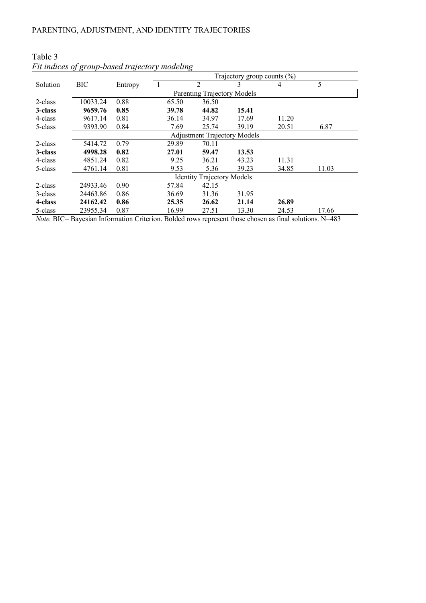|          | ., .,                             |                                     | Trajectory group counts $(\%)$ |       |       |       |       |  |
|----------|-----------------------------------|-------------------------------------|--------------------------------|-------|-------|-------|-------|--|
| Solution | <b>BIC</b>                        | Entropy                             |                                | 2     | 3     | 4     | 5     |  |
|          |                                   |                                     | Parenting Trajectory Models    |       |       |       |       |  |
| 2-class  | 10033.24                          | 0.88                                | 65.50                          | 36.50 |       |       |       |  |
| 3-class  | 9659.76                           | 0.85                                | 39.78                          | 44.82 | 15.41 |       |       |  |
| 4-class  | 9617.14                           | 0.81                                | 36.14                          | 34.97 | 17.69 | 11.20 |       |  |
| 5-class  | 9393.90                           | 0.84                                | 7.69                           | 25.74 | 39.19 | 20.51 | 6.87  |  |
|          |                                   | <b>Adjustment Trajectory Models</b> |                                |       |       |       |       |  |
| 2-class  | 5414.72                           | 0.79                                | 29.89                          | 70.11 |       |       |       |  |
| 3-class  | 4998.28                           | 0.82                                | 27.01                          | 59.47 | 13.53 |       |       |  |
| 4-class  | 4851.24                           | 0.82                                | 9.25                           | 36.21 | 43.23 | 11.31 |       |  |
| 5-class  | 4761.14                           | 0.81                                | 9.53                           | 5.36  | 39.23 | 34.85 | 11.03 |  |
|          | <b>Identity Trajectory Models</b> |                                     |                                |       |       |       |       |  |
| 2-class  | 24933.46                          | 0.90                                | 57.84                          | 42.15 |       |       |       |  |
| 3-class  | 24463.86                          | 0.86                                | 36.69                          | 31.36 | 31.95 |       |       |  |
| 4-class  | 24162.42                          | 0.86                                | 25.35                          | 26.62 | 21.14 | 26.89 |       |  |
| 5-class  | 23955.34                          | 0.87                                | 16.99                          | 27.51 | 13.30 | 24.53 | 17.66 |  |

# Table 3 *Fit indices of group-based trajectory modeling*

*Note.* BIC= Bayesian Information Criterion. Bolded rows represent those chosen as final solutions. N=483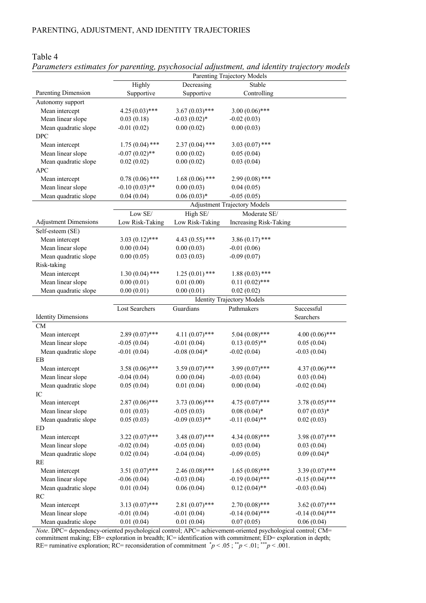Table 4

|                              | Parenting Trajectory Models |                   |                                     |                   |  |  |  |
|------------------------------|-----------------------------|-------------------|-------------------------------------|-------------------|--|--|--|
|                              | Highly                      | Decreasing        | Stable                              |                   |  |  |  |
| Parenting Dimension          | Supportive                  | Supportive        | Controlling                         |                   |  |  |  |
| Autonomy support             |                             |                   |                                     |                   |  |  |  |
| Mean intercept               | $4.25(0.03)$ ***            | $3.67(0.03)$ ***  | $3.00(0.06)$ ***                    |                   |  |  |  |
| Mean linear slope            | 0.03(0.18)                  | $-0.03(0.02)$ *   | $-0.02(0.03)$                       |                   |  |  |  |
| Mean quadratic slope         | $-0.01(0.02)$               | 0.00(0.02)        | 0.00(0.03)                          |                   |  |  |  |
| <b>DPC</b>                   |                             |                   |                                     |                   |  |  |  |
| Mean intercept               | $1.75(0.04)$ ***            | $2.37(0.04)$ ***  | $3.03(0.07)$ ***                    |                   |  |  |  |
| Mean linear slope            | $-0.07(0.02)$ **            | 0.00(0.02)        | 0.05(0.04)                          |                   |  |  |  |
| Mean quadratic slope         | 0.02(0.02)                  | 0.00(0.02)        | 0.03(0.04)                          |                   |  |  |  |
| <b>APC</b>                   |                             |                   |                                     |                   |  |  |  |
| Mean intercept               | $0.78(0.06)$ ***            | $1.68(0.06)$ ***  | $2.99(0.08)$ ***                    |                   |  |  |  |
| Mean linear slope            | $-0.10(0.03)$ **            | 0.00(0.03)        | 0.04(0.05)                          |                   |  |  |  |
| Mean quadratic slope         | 0.04(0.04)                  | $0.06(0.03)*$     | $-0.05(0.05)$                       |                   |  |  |  |
|                              |                             |                   | <b>Adjustment Trajectory Models</b> |                   |  |  |  |
|                              | Low SE/                     | High SE/          | Moderate SE/                        |                   |  |  |  |
| <b>Adjustment Dimensions</b> | Low Risk-Taking             | Low Risk-Taking   | Increasing Risk-Taking              |                   |  |  |  |
| Self-esteem (SE)             |                             |                   |                                     |                   |  |  |  |
| Mean intercept               | $3.03(0.12)$ ***            | 4.43 $(0.55)$ *** | $3.86(0.17)$ ***                    |                   |  |  |  |
| Mean linear slope            | 0.00(0.04)                  | 0.00(0.03)        | $-0.01(0.06)$                       |                   |  |  |  |
| Mean quadratic slope         | 0.00(0.05)                  | 0.03(0.03)        | $-0.09(0.07)$                       |                   |  |  |  |
| Risk-taking                  |                             |                   |                                     |                   |  |  |  |
| Mean intercept               | $1.30(0.04)$ ***            | $1.25(0.01)$ ***  | $1.88(0.03)$ ***                    |                   |  |  |  |
| Mean linear slope            | 0.00(0.01)                  | 0.01(0.00)        | $0.11(0.02)$ ***                    |                   |  |  |  |
| Mean quadratic slope         | 0.00(0.01)                  | 0.00(0.01)        | 0.02(0.02)                          |                   |  |  |  |
|                              |                             |                   | <b>Identity Trajectory Models</b>   |                   |  |  |  |
|                              | Lost Searchers              | Guardians         | Pathmakers                          | Successful        |  |  |  |
| <b>Identity Dimensions</b>   |                             |                   |                                     | Searchers         |  |  |  |
| CM                           |                             |                   |                                     |                   |  |  |  |
| Mean intercept               | $2.89(0.07)$ ***            | $4.11(0.07)$ ***  | $5.04(0.08)$ ***                    | $4.00(0.06)$ ***  |  |  |  |
| Mean linear slope            | $-0.05(0.04)$               | $-0.01(0.04)$     | $0.13(0.05)$ **                     | 0.05(0.04)        |  |  |  |
| Mean quadratic slope         | $-0.01(0.04)$               | $-0.08(0.04)$ *   | $-0.02(0.04)$                       | $-0.03(0.04)$     |  |  |  |
| EB                           |                             |                   |                                     |                   |  |  |  |
| Mean intercept               | $3.58(0.06)$ ***            |                   |                                     |                   |  |  |  |
|                              |                             | $3.59(0.07)$ ***  | $3.99(0.07)$ ***                    | $4.37(0.06)$ ***  |  |  |  |
| Mean linear slope            | $-0.04(0.04)$               | 0.00(0.04)        | $-0.03(0.04)$                       | 0.03(0.04)        |  |  |  |
| Mean quadratic slope         | 0.05(0.04)                  | 0.01(0.04)        | 0.00(0.04)                          | $-0.02(0.04)$     |  |  |  |
| IC                           |                             |                   |                                     |                   |  |  |  |
| Mean intercept               | $2.87(0.06)$ ***            | $3.73(0.06)$ ***  | $4.75(0.07)$ ***                    | $3.78(0.05)$ ***  |  |  |  |
| Mean linear slope            | 0.01(0.03)                  | $-0.05(0.03)$     | $0.08(0.04)*$                       | $0.07(0.03)*$     |  |  |  |
| Mean quadratic slope         | 0.05(0.03)                  | $-0.09(0.03)$ **  | $-0.11(0.04)$ **                    | 0.02(0.03)        |  |  |  |
| ED                           |                             |                   |                                     |                   |  |  |  |
| Mean intercept               | $3.22(0.07)$ ***            | $3.48(0.07)$ ***  | $4.34(0.08)$ ***                    | $3.98(0.07)$ ***  |  |  |  |
| Mean linear slope            | $-0.02(0.04)$               | $-0.05(0.04)$     | 0.03(0.04)                          | 0.03(0.04)        |  |  |  |
| Mean quadratic slope         | 0.02(0.04)                  | $-0.04(0.04)$     | $-0.09(0.05)$                       | $0.09(0.04)$ *    |  |  |  |
| RE                           |                             |                   |                                     |                   |  |  |  |
| Mean intercept               | $3.51(0.07)$ ***            | $2.46(0.08)$ ***  | $1.65(0.08)$ ***                    | $3.39(0.07)$ ***  |  |  |  |
| Mean linear slope            | $-0.06(0.04)$               | $-0.03(0.04)$     | $-0.19(0.04)$ ***                   | $-0.15(0.04)$ *** |  |  |  |
| Mean quadratic slope         | 0.01(0.04)                  | 0.06(0.04)        | $0.12(0.04)$ **                     | $-0.03(0.04)$     |  |  |  |
| RC                           |                             |                   |                                     |                   |  |  |  |
| Mean intercept               | $3.13(0.07)$ ***            | $2.81(0.07)$ ***  | $2.70(0.08)$ ***                    | $3.62(0.07)$ ***  |  |  |  |
| Mean linear slope            | $-0.01(0.04)$               | $-0.01(0.04)$     | $-0.14(0.04)$ ***                   | $-0.14(0.04)$ *** |  |  |  |

# *Parameters estimates for parenting, psychosocial adjustment, and identity trajectory models*

*Note*. DPC= dependency-oriented psychological control; APC= achievement-oriented psychological control; CM= commitment making; EB= exploration in breadth; IC= identification with commitment; ED= exploration in depth; RE= ruminative exploration; RC= reconsideration of commitment  $p < .05$ ;  $p > .01$ ;  $p > .001$ .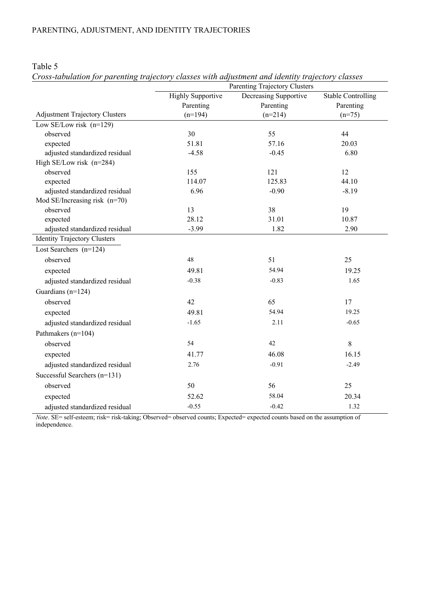|                                       |                          | Parenting Trajectory Clusters |                           |
|---------------------------------------|--------------------------|-------------------------------|---------------------------|
|                                       | <b>Highly Supportive</b> | Decreasing Supportive         | <b>Stable Controlling</b> |
|                                       | Parenting                | Parenting                     | Parenting                 |
| <b>Adjustment Trajectory Clusters</b> | $(n=194)$                | $(n=214)$                     | $(n=75)$                  |
| Low SE/Low risk $(n=129)$             |                          |                               |                           |
| observed                              | 30                       | 55                            | 44                        |
| expected                              | 51.81                    | 57.16                         | 20.03                     |
| adjusted standardized residual        | $-4.58$                  | $-0.45$                       | 6.80                      |
| High SE/Low risk $(n=284)$            |                          |                               |                           |
| observed                              | 155                      | 121                           | 12                        |
| expected                              | 114.07                   | 125.83                        | 44.10                     |
| adjusted standardized residual        | 6.96                     | $-0.90$                       | $-8.19$                   |
| Mod SE/Increasing risk $(n=70)$       |                          |                               |                           |
| observed                              | 13                       | 38                            | 19                        |
| expected                              | 28.12                    | 31.01                         | 10.87                     |
| adjusted standardized residual        | $-3.99$                  | 1.82                          | 2.90                      |
| <b>Identity Trajectory Clusters</b>   |                          |                               |                           |
| Lost Searchers $(n=124)$              |                          |                               |                           |
| observed                              | 48                       | 51                            | 25                        |
| expected                              | 49.81                    | 54.94                         | 19.25                     |
| adjusted standardized residual        | $-0.38$                  | $-0.83$                       | 1.65                      |
| Guardians (n=124)                     |                          |                               |                           |
| observed                              | 42                       | 65                            | 17                        |
| expected                              | 49.81                    | 54.94                         | 19.25                     |
| adjusted standardized residual        | $-1.65$                  | 2.11                          | $-0.65$                   |
| Pathmakers (n=104)                    |                          |                               |                           |
| observed                              | 54                       | 42                            | 8                         |
| expected                              | 41.77                    | 46.08                         | 16.15                     |
| adjusted standardized residual        | 2.76                     | $-0.91$                       | $-2.49$                   |
| Successful Searchers (n=131)          |                          |                               |                           |
| observed                              | 50                       | 56                            | 25                        |
| expected                              | 52.62                    | 58.04                         | 20.34                     |
| adjusted standardized residual        | $-0.55$                  | $-0.42$                       | 1.32                      |

Table 5

*Cross-tabulation for parenting trajectory classes with adjustment and identity trajectory classes*

*Note*. SE= self-esteem; risk= risk-taking; Observed= observed counts; Expected= expected counts based on the assumption of independence.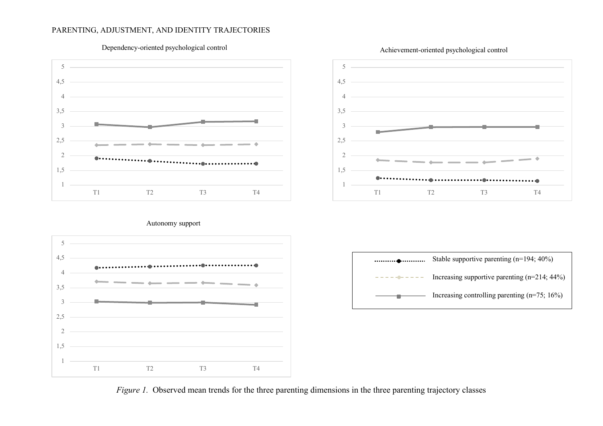# PARENTING, ADJUSTMENT, AND IDENTITY TRAJECTORIES



# Dependency-oriented psychological control



#### Autonomy support





*Figure 1.* Observed mean trends for the three parenting dimensions in the three parenting trajectory classes

## Achievement-oriented psychological control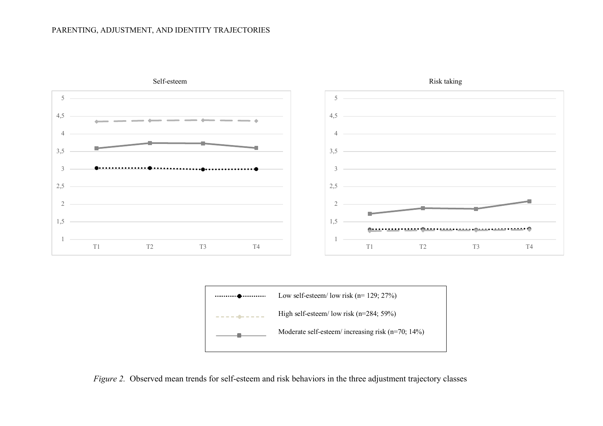# PARENTING, ADJUSTMENT, AND IDENTITY TRAJECTORIES